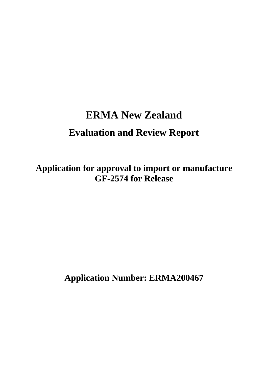# **ERMA New Zealand Evaluation and Review Report**

**Application for approval to import or manufacture GF-2574 for Release** 

**Application Number: ERMA200467**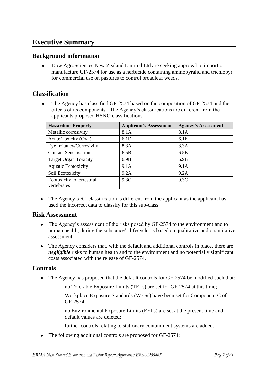# **Executive Summary**

# **Background information**

Dow AgroSciences New Zealand Limited Ltd are seeking approval to import or manufacture GF-2574 for use as a herbicide containing aminopyralid and trichlopyr for commercial use on pastures to control broadleaf weeds.

# **Classification**

The Agency has classified GF-2574 based on the composition of GF-2574 and the effects of its components. The Agency"s classifications are different from the applicants proposed HSNO classifications.

| <b>Hazardous Property</b>                 | <b>Applicant's Assessment</b> | <b>Agency's Assessment</b> |
|-------------------------------------------|-------------------------------|----------------------------|
| Metallic corrosivity                      | 8.1A                          | 8.1A                       |
| Acute Toxicity (Oral)                     | 6.1D                          | 6.1E                       |
| Eye Irritancy/Corrosivity                 | 8.3A                          | 8.3A                       |
| <b>Contact Sensitisation</b>              | 6.5B                          | 6.5B                       |
| <b>Target Organ Toxicity</b>              | 6.9B                          | 6.9B                       |
| <b>Aquatic Ecotoxicity</b>                | 9.1A                          | 9.1A                       |
| Soil Ecotoxicity                          | 9.2A                          | 9.2A                       |
| Ecotoxicity to terrestrial<br>vertebrates | 9.3C                          | 9.3C                       |

• The Agency's 6.1 classification is different from the applicant as the applicant has used the incorrect data to classify for this sub-class.

# **Risk Assessment**

- The Agency"s assessment of the risks posed by GF-2574 to the environment and to  $\bullet$ human health, during the substance's lifecycle, is based on qualitative and quantitative assessment.
- The Agency considers that, with the default and additional controls in place, there are *negligible* risks to human health and to the environment and no potentially significant costs associated with the release of GF-2574.

# **Controls**

- The Agency has proposed that the default controls for GF-2574 be modified such that:
	- no Tolerable Exposure Limits (TELs) are set for GF-2574 at this time;
	- Workplace Exposure Standards (WESs) have been set for Component C of GF-2574;
	- no Environmental Exposure Limits (EELs) are set at the present time and default values are deleted;
	- further controls relating to stationary containment systems are added.
- The following additional controls are proposed for GF-2574: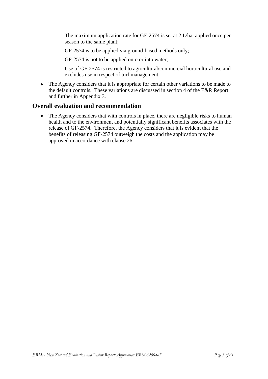- The maximum application rate for GF-2574 is set at 2 L/ha, applied once per season to the same plant;
- GF-2574 is to be applied via ground-based methods only;
- GF-2574 is not to be applied onto or into water;
- Use of GF-2574 is restricted to agricultural/commercial horticultural use and excludes use in respect of turf management.
- The Agency considers that it is appropriate for certain other variations to be made to the default controls. These variations are discussed in section 4 of the E&R Report and further in Appendix 3.

### **Overall evaluation and recommendation**

The Agency considers that with controls in place, there are negligible risks to human  $\bullet$ health and to the environment and potentially significant benefits associates with the release of GF-2574. Therefore, the Agency considers that it is evident that the benefits of releasing GF-2574 outweigh the costs and the application may be approved in accordance with clause 26.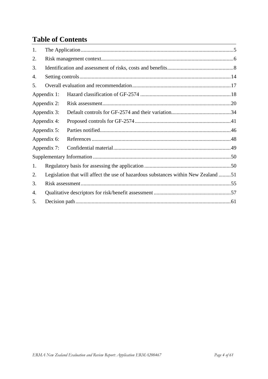# **Table of Contents**

| 1. |                                                                                    |  |  |  |  |  |  |
|----|------------------------------------------------------------------------------------|--|--|--|--|--|--|
| 2. |                                                                                    |  |  |  |  |  |  |
| 3. |                                                                                    |  |  |  |  |  |  |
| 4. |                                                                                    |  |  |  |  |  |  |
| 5. |                                                                                    |  |  |  |  |  |  |
|    | Appendix 1:                                                                        |  |  |  |  |  |  |
|    | Appendix 2:                                                                        |  |  |  |  |  |  |
|    | Appendix 3:                                                                        |  |  |  |  |  |  |
|    | Appendix 4:                                                                        |  |  |  |  |  |  |
|    | Appendix 5:                                                                        |  |  |  |  |  |  |
|    | Appendix 6:                                                                        |  |  |  |  |  |  |
|    | Appendix 7:                                                                        |  |  |  |  |  |  |
|    |                                                                                    |  |  |  |  |  |  |
| 1. |                                                                                    |  |  |  |  |  |  |
| 2. | Legislation that will affect the use of hazardous substances within New Zealand 51 |  |  |  |  |  |  |
| 3. |                                                                                    |  |  |  |  |  |  |
| 4. |                                                                                    |  |  |  |  |  |  |
| 5. |                                                                                    |  |  |  |  |  |  |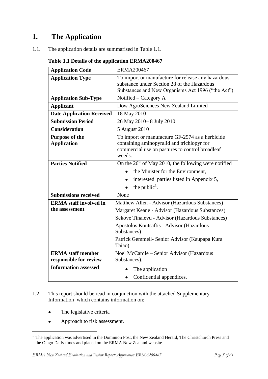# <span id="page-4-0"></span>**1. The Application**

1.1. The application details are summarised in Table 1.1.

| <b>Application Code</b>                     | <b>ERMA200467</b>                                                                                                                                          |  |  |
|---------------------------------------------|------------------------------------------------------------------------------------------------------------------------------------------------------------|--|--|
| <b>Application Type</b>                     | To import or manufacture for release any hazardous<br>substance under Section 28 of the Hazardous<br>Substances and New Organisms Act 1996 ("the Act")     |  |  |
| <b>Application Sub-Type</b>                 | Notified – Category A                                                                                                                                      |  |  |
| <b>Applicant</b>                            | Dow AgroSciences New Zealand Limited                                                                                                                       |  |  |
| <b>Date Application Received</b>            | 18 May 2010                                                                                                                                                |  |  |
| <b>Submission Period</b>                    | 26 May 2010 - 8 July 2010                                                                                                                                  |  |  |
| <b>Consideration</b>                        | 5 August 2010                                                                                                                                              |  |  |
| <b>Purpose of the</b><br><b>Application</b> | To import or manufacture GF-2574 as a herbicide<br>containing aminopyralid and trichlopyr for<br>commercial use on pastures to control broadleaf<br>weeds. |  |  |
| <b>Parties Notified</b>                     | On the $26th$ of May 2010, the following were notified                                                                                                     |  |  |
|                                             | the Minister for the Environment,                                                                                                                          |  |  |
|                                             | interested parties listed in Appendix 5,                                                                                                                   |  |  |
|                                             | the public <sup><math>\cdot</math></sup> .                                                                                                                 |  |  |
| <b>Submissions received</b>                 | None                                                                                                                                                       |  |  |
| <b>ERMA</b> staff involved in               | Matthew Allen - Advisor (Hazardous Substances)                                                                                                             |  |  |
| the assessment                              | Margaret Keane - Advisor (Hazardous Substances)                                                                                                            |  |  |
|                                             | Sekove Tinalevu - Advisor (Hazardous Substances)                                                                                                           |  |  |
|                                             | Apostolos Koutsaftis - Advisor (Hazardous                                                                                                                  |  |  |
|                                             | Substances)                                                                                                                                                |  |  |
|                                             | Patrick Gemmell- Senior Advisor (Kaupapa Kura<br>Taiao)                                                                                                    |  |  |
| <b>ERMA</b> staff member                    | <b>Noel McCardle - Senior Advisor (Hazardous</b>                                                                                                           |  |  |
| responsible for review                      | Substances).                                                                                                                                               |  |  |
| <b>Information assessed</b>                 | The application                                                                                                                                            |  |  |
|                                             | Confidential appendices.                                                                                                                                   |  |  |

### **Table 1.1 Details of the application ERMA200467**

- 1.2. This report should be read in conjunction with the attached Supplementary Information which contains information on:
	- The legislative criteria  $\bullet$

**.** 

Approach to risk assessment.  $\bullet$ 

<sup>&</sup>lt;sup>1</sup> The application was advertised in the Dominion Post, the New Zealand Herald, The Christchurch Press and the Otago Daily times and placed on the ERMA New Zealand website.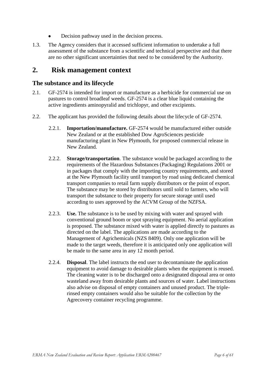- Decision pathway used in the decision process.
- 1.3. The Agency considers that it accessed sufficient information to undertake a full assessment of the substance from a scientific and technical perspective and that there are no other significant uncertainties that need to be considered by the Authority.

# <span id="page-5-0"></span>**2. Risk management context**

### **The substance and its lifecycle**

- 2.1. GF-2574 is intended for import or manufacture as a herbicide for commercial use on pastures to control broadleaf weeds. GF-2574 is a clear blue liquid containing the active ingredients aminopyralid and trichlopyr, and other excipients.
- 2.2. The applicant has provided the following details about the lifecycle of GF-2574.
	- 2.2.1. **Importation/manufacture.** GF-2574 would be manufactured either outside New Zealand or at the established Dow AgroSciences pesticide manufacturing plant in New Plymouth, for proposed commercial release in New Zealand.
	- 2.2.2. **Storage/transportation**. The substance would be packaged according to the requirements of the Hazardous Substances (Packaging) Regulations 2001 or in packages that comply with the importing country requirements, and stored at the New Plymouth facility until transport by road using dedicated chemical transport companies to retail farm supply distributors or the point of export. The substance may be stored by distributors until sold to farmers, who will transport the substance to their property for secure storage until used according to uses approved by the ACVM Group of the NZFSA.
	- 2.2.3. **Use.** The substance is to be used by mixing with water and sprayed with conventional ground boom or spot spraying equipment. No aerial application is proposed. The substance mixed with water is applied directly to pastures as directed on the label. The applications are made according to the Management of Agrichemicals (NZS 8409). Only one application will be made to the target weeds, therefore it is anticipated only one application will be made to the same area in any 12 month period.
	- 2.2.4. **Disposal**. The label instructs the end user to decontaminate the application equipment to avoid damage to desirable plants when the equipment is reused. The cleaning water is to be discharged onto a designated disposal area or onto wasteland away from desirable plants and sources of water. Label instructions also advise on disposal of empty containers and unused product. The triplerinsed empty containers would also be suitable for the collection by the Agrecovery container recycling programme.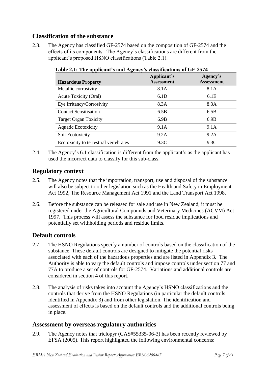# **Classification of the substance**

2.3. The Agency has classified GF-2574 based on the composition of GF-2574 and the effects of its components. The Agency"s classifications are different from the applicant"s proposed HSNO classifications (Table 2.1).

| <b>Hazardous Property</b>              | Applicant's<br><b>Assessment</b> | Agency's<br><b>Assessment</b> |
|----------------------------------------|----------------------------------|-------------------------------|
| Metallic corrosivity                   | 8.1A                             | 8.1A                          |
| Acute Toxicity (Oral)                  | 6.1D                             | 6.1E                          |
| Eye Irritancy/Corrosivity              | 8.3A                             | 8.3A                          |
| <b>Contact Sensitisation</b>           | 6.5B                             | 6.5B                          |
| <b>Target Organ Toxicity</b>           | 6.9B                             | 6.9B                          |
| <b>Aquatic Ecotoxicity</b>             | 9.1A                             | 9.1A                          |
| Soil Ecotoxicity                       | 9.2A                             | 9.2A                          |
| Ecotoxicity to terrestrial vertebrates | 9.3C                             | 9.3C                          |

**Table 2.1: The applicant's and Agency's classifications of GF-2574**

2.4. The Agency's 6.1 classification is different from the applicant's as the applicant has used the incorrect data to classify for this sub-class.

# **Regulatory context**

- 2.5. The Agency notes that the importation, transport, use and disposal of the substance will also be subject to other legislation such as the Health and Safety in Employment Act 1992, The Resource Management Act 1991 and the Land Transport Act 1998.
- 2.6. Before the substance can be released for sale and use in New Zealand, it must be registered under the Agricultural Compounds and Veterinary Medicines (ACVM) Act 1997. This process will assess the substance for food residue implications and potentially set withholding periods and residue limits.

# **Default controls**

- 2.7. The HSNO Regulations specify a number of controls based on the classification of the substance. These default controls are designed to mitigate the potential risks associated with each of the hazardous properties and are listed in Appendix 3. The Authority is able to vary the default controls and impose controls under section 77 and 77A to produce a set of controls for GF-2574. Variations and additional controls are considered in section 4 of this report.
- 2.8. The analysis of risks takes into account the Agency"s HSNO classifications and the controls that derive from the HSNO Regulations (in particular the default controls identified in Appendix 3) and from other legislation. The identification and assessment of effects is based on the default controls and the additional controls being in place.

# **Assessment by overseas regulatory authorities**

2.9. The Agency notes that triclopyr (CAS#55335-06-3) has been recently reviewed by EFSA (2005). This report highlighted the following environmental concerns: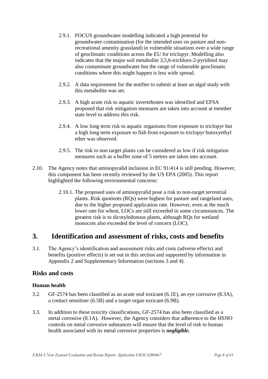- 2.9.1. FOCUS groundwater modelling indicated a high potential for groundwater contamination (for the intended uses on pasture and nonrecreational amenity grassland) in vulnerable situations over a wide range of geoclimatic conditions across the EU for triclopyr. Modelling also indicates that the major soil metabolite 3,5,6-trichloro-2-pyridinol may also contaminate groundwater but the range of vulnerable geoclimatic conditions where this might happen is less wide spread.
- 2.9.2. A data requirement for the notifier to submit at least an algal study with this metabolite was set.
- 2.9.3. A high acute risk to aquatic invertebrates was identified and EFSA proposed that risk mitigation measures are taken into account at member state level to address this risk.
- 2.9.4. A low long term risk to aquatic organisms from exposure to triclopyr but a high long term exposure to fish from exposure to triclopyr butoxyethyl ether was observed.
- 2.9.5. The risk to non target plants can be considered as low if risk mitigation measures such as a buffer zone of 5 metres are taken into account.
- 2.10. The Agency notes that aminopyralid inclusion in EC 91/414 is still pending. However, this component has been recently reviewed by the US EPA (2005). This report highlighted the following environmental concerns:
	- 2.10.1. The proposed uses of aminopyralid pose a risk to non-target terrestrial plants. Risk quotients (RQs) were highest for pasture and rangeland uses, due to the higher proposed application rate. However, even at the much lower rate for wheat, LOCs are still exceeded in some circumstances. The greatest risk is to dicotyledonous plants, although RQs for wetland monocots also exceeded the level of concern (LOC).

# <span id="page-7-0"></span>**3. Identification and assessment of risks, costs and benefits**

3.1. The Agency"s identification and assessment risks and costs (adverse effects) and benefits (positive effects) is set out in this section and supported by information in Appendix 2 and Supplementary Information (sections 3 and 4).

# **Risks and costs**

#### **Human health**

- 3.2. GF-2574 has been classified as an acute oral toxicant (6.1E), an eye corrosive (8.3A), a contact sensitiser (6.5B) and a target organ toxicant (6.9B).
- 3.3. In addition to these toxicity classifications, GF-2574 has also been classified as a metal corrosive (8.1A). However, the Agency considers that adherence to the HSNO controls on metal corrosive substances will ensure that the level of risk to human health associated with its metal corrosive properties is *negligible.*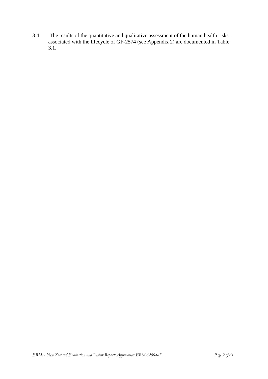3.4. The results of the quantitative and qualitative assessment of the human health risks associated with the lifecycle of GF-2574 (see Appendix 2) are documented in Table 3.1.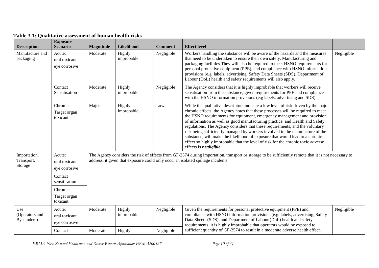| <b>Description</b>                    | <b>Exposure</b><br><b>Scenario</b>                    | <b>Magnitude</b> | Likelihood                                                                                                                                                                                                                               | <b>Comment</b>                                                                                                                                                                                                                                                                                                                                                                                                                                                                        | <b>Effect level</b>                                                                                                                                                                                                                                                                                                                                                                                                                                                                                                                                                                                                                                                                                    |            |
|---------------------------------------|-------------------------------------------------------|------------------|------------------------------------------------------------------------------------------------------------------------------------------------------------------------------------------------------------------------------------------|---------------------------------------------------------------------------------------------------------------------------------------------------------------------------------------------------------------------------------------------------------------------------------------------------------------------------------------------------------------------------------------------------------------------------------------------------------------------------------------|--------------------------------------------------------------------------------------------------------------------------------------------------------------------------------------------------------------------------------------------------------------------------------------------------------------------------------------------------------------------------------------------------------------------------------------------------------------------------------------------------------------------------------------------------------------------------------------------------------------------------------------------------------------------------------------------------------|------------|
| Manufacture and<br>packaging          | Acute:<br>oral toxicant<br>eye corrosive              | Moderate         | Highly<br>improbable                                                                                                                                                                                                                     | Negligible<br>Workers handling the substance will be aware of the hazards and the measures<br>that need to be undertaken to ensure their own safety. Manufacturing and<br>packaging facilities They will also be required to meet HSNO requirements for<br>personal protective equipment (PPE), and compliance with HSNO information<br>provisions (e.g. labels, advertising, Safety Data Sheets (SDS). Department of<br>Labour (DoL) health and safety requirements will also apply. |                                                                                                                                                                                                                                                                                                                                                                                                                                                                                                                                                                                                                                                                                                        | Negligible |
|                                       | Contact<br>Sensitisation                              | Moderate         | Highly<br>improbable                                                                                                                                                                                                                     | Negligible                                                                                                                                                                                                                                                                                                                                                                                                                                                                            | The Agency considers that it is highly improbable that workers will receive<br>sensitisation from the substance, given requirements for PPE and compliance<br>with the HSNO information provisions (e.g labels, advertising and SDS)                                                                                                                                                                                                                                                                                                                                                                                                                                                                   |            |
|                                       | Chronic:<br>Target organ<br>toxicant                  | Major            | Highly<br>improbable                                                                                                                                                                                                                     | Low                                                                                                                                                                                                                                                                                                                                                                                                                                                                                   | While the qualitative descriptors indicate a low level of risk driven by the major<br>chronic effects, the Agency notes that these processes will be required to meet<br>the HSNO requirements for equipment, emergency management and provision<br>of information as well as good manufacturing practice and Health and Safety<br>regulations. The Agency considers that these requirements, and the voluntary<br>risk being sufficiently managed by workers involved in the manufacture of the<br>substance, will make the likelihood of exposure that would lead to a chronic<br>effect so highly improbable that the level of risk for the chronic toxic adverse<br>effects is <i>negligible</i> . |            |
| Importation,<br>Transport,<br>Storage | Acute:<br>oral toxicant<br>eye corrosive<br>Contact   |                  | The Agency considers the risk of effects from GF-2574 during importation, transport or storage to be sufficiently remote that it is not necessary to<br>address, it given that exposure could only occur in isolated spillage incidents. |                                                                                                                                                                                                                                                                                                                                                                                                                                                                                       |                                                                                                                                                                                                                                                                                                                                                                                                                                                                                                                                                                                                                                                                                                        |            |
|                                       | sensitisation<br>Chronic:<br>Target organ<br>toxicant |                  |                                                                                                                                                                                                                                          |                                                                                                                                                                                                                                                                                                                                                                                                                                                                                       |                                                                                                                                                                                                                                                                                                                                                                                                                                                                                                                                                                                                                                                                                                        |            |
| Use<br>(Operators and<br>Bystanders)  | Acute:<br>oral toxicant<br>eye corrosive              | Moderate         | Highly<br>improbable                                                                                                                                                                                                                     | Negligible                                                                                                                                                                                                                                                                                                                                                                                                                                                                            | Given the requirements for personal protective equipment (PPE) and<br>compliance with HSNO information provisions (e.g. labels, advertising, Safety<br>Data Sheets (SDS), and Department of Labour (DoL) health and safety<br>requirements, it is highly improbable that operators would be exposed to                                                                                                                                                                                                                                                                                                                                                                                                 | Negligible |
|                                       | Contact                                               | Moderate         | Highly                                                                                                                                                                                                                                   | Negligible                                                                                                                                                                                                                                                                                                                                                                                                                                                                            | sufficient quantity of GF-2574 to result in a moderate adverse health effect.                                                                                                                                                                                                                                                                                                                                                                                                                                                                                                                                                                                                                          |            |

### **Table 3.1: Qualitative assessment of human health risks**

*ERMA New Zealand Evaluation and Review Report: Application ERMA200467* Page 10 *of 61*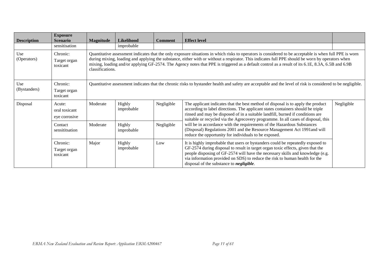| <b>Description</b>  | <b>Exposure</b><br><b>Scenario</b>       | <b>Magnitude</b>                                                                                                                                                                                                                                                                                                                                                                                                                                                                     | Likelihood           | <b>Comment</b> | <b>Effect level</b>                                                                                                                                                                                                                                                                                                                                                                                                                                                                                                                                                      |  |
|---------------------|------------------------------------------|--------------------------------------------------------------------------------------------------------------------------------------------------------------------------------------------------------------------------------------------------------------------------------------------------------------------------------------------------------------------------------------------------------------------------------------------------------------------------------------|----------------------|----------------|--------------------------------------------------------------------------------------------------------------------------------------------------------------------------------------------------------------------------------------------------------------------------------------------------------------------------------------------------------------------------------------------------------------------------------------------------------------------------------------------------------------------------------------------------------------------------|--|
|                     | sensitisation                            |                                                                                                                                                                                                                                                                                                                                                                                                                                                                                      | improbable           |                |                                                                                                                                                                                                                                                                                                                                                                                                                                                                                                                                                                          |  |
| Use<br>(Operators)  | Chronic:<br>Target organ<br>toxicant     | Quantitative assessment indicates that the only exposure situations in which risks to operators is considered to be acceptable is when full PPE is worn<br>during mixing, loading and applying the substance, either with or without a respirator. This indicates full PPE should be worn by operators when<br>mixing, loading and/or applying GF-2574. The Agency notes that PPE is triggered as a default control as a result of its 6.1E, 8.3A, 6.5B and 6.9B<br>classifications. |                      |                |                                                                                                                                                                                                                                                                                                                                                                                                                                                                                                                                                                          |  |
| Use<br>(Bystanders) | Chronic:<br>Target organ<br>toxicant     | Quantitative assessment indicates that the chronic risks to bystander health and safety are acceptable and the level of risk is considered to be negligible.                                                                                                                                                                                                                                                                                                                         |                      |                |                                                                                                                                                                                                                                                                                                                                                                                                                                                                                                                                                                          |  |
| Disposal            | Acute:<br>oral toxicant<br>eye corrosive | Moderate                                                                                                                                                                                                                                                                                                                                                                                                                                                                             | Highly<br>improbable | Negligible     | Negligible<br>The applicant indicates that the best method of disposal is to apply the product<br>according to label directions. The applicant states containers should be triple<br>rinsed and may be disposed of in a suitable landfill, burned if conditions are<br>suitable or recycled via the Agrecovery programme. In all cases of disposal, this<br>will be in accordance with the requirements of the Hazardous Substances<br>(Disposal) Regulations 2001 and the Resource Management Act 1991and will<br>reduce the opportunity for individuals to be exposed. |  |
|                     | Contact<br>sensititsation                | Moderate                                                                                                                                                                                                                                                                                                                                                                                                                                                                             | Highly<br>improbable | Negligible     |                                                                                                                                                                                                                                                                                                                                                                                                                                                                                                                                                                          |  |
|                     | Chronic:<br>Target organ<br>toxicant     | Major                                                                                                                                                                                                                                                                                                                                                                                                                                                                                | Highly<br>improbable | Low            | It is highly improbable that users or bystanders could be repeatedly exposed to<br>GF-2574 during disposal to result in target organ toxic effects, given that the<br>people disposing of GF-2574 will have the necessary skills and knowledge (e.g.<br>via information provided on SDS) to reduce the risk to human health for the<br>disposal of the substance to <i>negligible</i> .                                                                                                                                                                                  |  |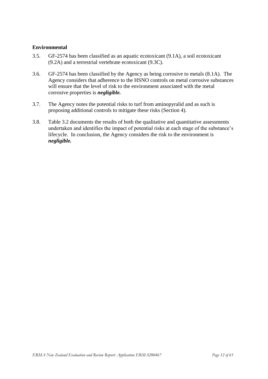#### **Environmental**

- 3.5. GF-2574 has been classified as an aquatic ecotoxicant (9.1A), a soil ecotoxicant (9.2A) and a terrestrial vertebrate ecotoxicant (9.3C).
- 3.6. GF-2574 has been classified by the Agency as being corrosive to metals (8.1A). The Agency considers that adherence to the HSNO controls on metal corrosive substances will ensure that the level of risk to the environment associated with the metal corrosive properties is *negligible.*
- 3.7. The Agency notes the potential risks to turf from aminopyralid and as such is proposing additional controls to mitigate these risks (Section 4).
- 3.8. Table 3.2 documents the results of both the qualitative and quantitative assessments undertaken and identifies the impact of potential risks at each stage of the substance"s lifecycle. In conclusion, the Agency considers the risk to the environment is *negligible.*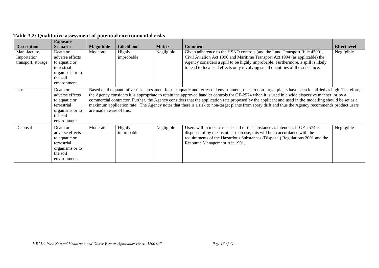|                                                                          | <b>Exposure</b>                                                                                                               |                                                                                                                                                                                                                                                                                                                                                                                                                                                                                                                                                                                                                                                         |                                    |                             |                                                                                                                                                                                                                                                                                                                                                 |                                   |
|--------------------------------------------------------------------------|-------------------------------------------------------------------------------------------------------------------------------|---------------------------------------------------------------------------------------------------------------------------------------------------------------------------------------------------------------------------------------------------------------------------------------------------------------------------------------------------------------------------------------------------------------------------------------------------------------------------------------------------------------------------------------------------------------------------------------------------------------------------------------------------------|------------------------------------|-----------------------------|-------------------------------------------------------------------------------------------------------------------------------------------------------------------------------------------------------------------------------------------------------------------------------------------------------------------------------------------------|-----------------------------------|
| <b>Description</b><br>Manufacture,<br>Importation,<br>transport, storage | <b>Scenario</b><br>Death or<br>adverse effects<br>to aquatic or<br>terrestrial<br>organisms or to<br>the soil<br>environment. | <b>Magnitude</b><br>Moderate                                                                                                                                                                                                                                                                                                                                                                                                                                                                                                                                                                                                                            | Likelihood<br>Highly<br>improbable | <b>Matrix</b><br>Negligible | <b>Comment</b><br>Given adherence to the HSNO controls (and the Land Transport Rule 45001,<br>Civil Aviation Act 1990 and Maritime Transport Act 1994 (as applicable) the<br>Agency considers a spill to be highly improbable. Furthermore, a spill is likely<br>to lead to localised effects only involving small quantities of the substance. | <b>Effect level</b><br>Negligible |
| Use                                                                      | Death or<br>adverse effects<br>to aquatic or<br>terrestrial<br>organisms or to<br>the soil<br>environment.                    | Based on the quantitative risk assessment for the aquatic and terrestrial environment, risks to non-target plants have been identified as high. Therefore,<br>the Agency considers it is appropriate to retain the approved handler controls for GF-2574 when it is used in a wide dispersive manner, or by a<br>commercial contractor. Further, the Agency considers that the application rate proposed by the applicant and used in the modelling should be set as a<br>maximum application rate. The Agency notes that there is a risk to non-target plants from spray drift and thus the Agency recommends product users<br>are made aware of this. |                                    |                             |                                                                                                                                                                                                                                                                                                                                                 |                                   |
| Disposal                                                                 | Death or<br>adverse effects<br>to aquatic or<br>terrestrial<br>organisms or to<br>the soil<br>environment.                    | Moderate                                                                                                                                                                                                                                                                                                                                                                                                                                                                                                                                                                                                                                                | Highly<br>improbable               | Negligible                  | Users will in most cases use all of the substance as intended. If GF-2574 is<br>disposed of by means other than use, this will be in accordance with the<br>requirements of the Hazardous Substances (Disposal) Regulations 2001 and the<br>Resource Management Act 1991.                                                                       | Negligible                        |

# **Table 3.2: Qualitative assessment of potential environmental risks**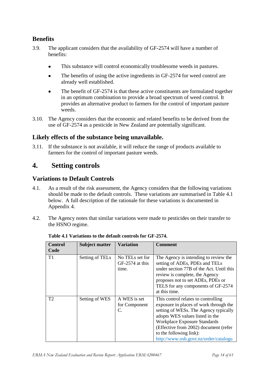# **Benefits**

- 3.9. The applicant considers that the availability of GF-2574 will have a number of benefits:
	- This substance will control economically troublesome weeds in pastures.  $\bullet$
	- $\bullet$ The benefits of using the active ingredients in GF-2574 for weed control are already well established.
	- The benefit of GF-2574 is that these active constituents are formulated together in an optimum combination to provide a broad spectrum of weed control. It provides an alternative product to farmers for the control of important pasture weeds.
- 3.10. The Agency considers that the economic and related benefits to be derived from the use of GF-2574 as a pesticide in New Zealand are potentially significant.

# **Likely effects of the substance being unavailable.**

3.11. If the substance is not available, it will reduce the range of products available to farmers for the control of important pasture weeds.

# <span id="page-13-0"></span>**4. Setting controls**

# **Variations to Default Controls**

- 4.1. As a result of the risk assessment, the Agency considers that the following variations should be made to the default controls. These variations are summarised in Table 4.1 below. A full description of the rationale for these variations is documented in Appendix 4.
- 4.2. The Agency notes that similar variations were made to pesticides on their transfer to the HSNO regime.

| Control<br>Code | <b>Subject matter</b> | <b>Variation</b>                            | <b>Comment</b>                                                                                                                                                                                                                                                                                         |
|-----------------|-----------------------|---------------------------------------------|--------------------------------------------------------------------------------------------------------------------------------------------------------------------------------------------------------------------------------------------------------------------------------------------------------|
| T1              | Setting of TELs       | No TELs set for<br>GF-2574 at this<br>time. | The Agency is intending to review the<br>setting of ADEs, PDEs and TELs<br>under section 77B of the Act. Until this<br>review is complete, the Agency<br>proposes not to set ADEs, PDEs or<br>TELS for any components of GF-2574<br>at this time.                                                      |
| T <sub>2</sub>  | Setting of WES        | A WES is set<br>for Component<br>C.         | This control relates to controlling<br>exposure in places of work through the<br>setting of WESs. The Agency typically<br>adopts WES values listed in the<br>Workplace Exposure Standards<br>(Effective from 2002) document (refer<br>to the following link):<br>http://www.osh.govt.nz/order/catalogu |

**Table 4.1 Variations to the default controls for GF-2574.**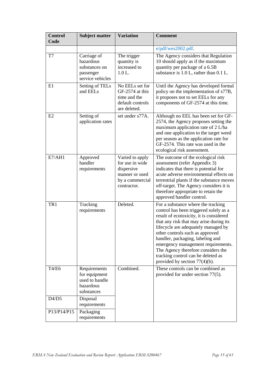| <b>Control</b><br>Code | <b>Subject matter</b>                                                      | <b>Variation</b>                                                                                     | <b>Comment</b>                                                                                                                                                                                                                                                                                                                                                                                                                         |
|------------------------|----------------------------------------------------------------------------|------------------------------------------------------------------------------------------------------|----------------------------------------------------------------------------------------------------------------------------------------------------------------------------------------------------------------------------------------------------------------------------------------------------------------------------------------------------------------------------------------------------------------------------------------|
|                        |                                                                            |                                                                                                      | e/pdf/wes2002.pdf.                                                                                                                                                                                                                                                                                                                                                                                                                     |
| T7                     | Carriage of<br>hazardous<br>substances on<br>passenger<br>service vehicles | The trigger<br>quantity is<br>increased to<br>1.0 L.                                                 | The Agency considers that Regulation<br>10 should apply as if the maximum<br>quantity per package of a 6.5B<br>substance is $1.0 L$ , rather than $0.1 L$ .                                                                                                                                                                                                                                                                            |
| E1                     | Setting of TELs<br>and EELs                                                | No EELs set for<br>GF-2574 at this<br>time and the<br>default controls<br>are deleted.               | Until the Agency has developed formal<br>policy on the implementation of s77B,<br>it proposes not to set EELs for any<br>components of GF-2574 at this time.                                                                                                                                                                                                                                                                           |
| E2                     | Setting of<br>application rates                                            | set under s77A.                                                                                      | Although no EEL has been set for GF-<br>2574, the Agency proposes setting the<br>maximum application rate of 2 L/ha<br>and one application to the target weed<br>per season as the application rate for<br>GF-2574. This rate was used in the<br>ecological risk assessment.                                                                                                                                                           |
| E7/AH1                 | Approved<br>handler<br>requirements                                        | Varied to apply<br>for use in wide<br>dispersive<br>manner or used<br>by a commercial<br>contractor. | The outcome of the ecological risk<br>assessment (refer Appendix 3)<br>indicates that there is potential for<br>acute adverse environmental effects on<br>terrestrial plants if the substance moves<br>off-target. The Agency considers it is<br>therefore appropriate to retain the<br>approved handler control.                                                                                                                      |
| TR1                    | Tracking<br>requirements                                                   | Deleted.                                                                                             | For a substance where the tracking<br>control has been triggered solely as a<br>result of ecotoxicity, it is considered<br>that any risk that may arise during its<br>lifecycle are adequately managed by<br>other controls such as approved<br>handler, packaging, labeling and<br>emergency management requirements.<br>The Agency therefore considers the<br>tracking control can be deleted as<br>provided by section $77(4)(b)$ . |
| T4/E6                  | Requirements<br>for equipment<br>used to handle<br>hazardous<br>substances | Combined.                                                                                            | These controls can be combined as<br>provided for under section 77(5).                                                                                                                                                                                                                                                                                                                                                                 |
| D4/D5                  | Disposal<br>requirements                                                   |                                                                                                      |                                                                                                                                                                                                                                                                                                                                                                                                                                        |
| P13/P14/P15            | Packaging<br>requirements                                                  |                                                                                                      |                                                                                                                                                                                                                                                                                                                                                                                                                                        |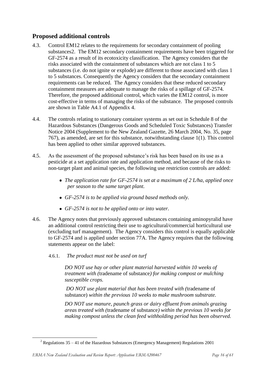# **Proposed additional controls**

- 4.3. Control EM12 relates to the requirements for secondary containment of pooling substances2. The EM12 secondary containment requirements have been triggered for GF-2574 as a result of its ecotoxicity classification. The Agency considers that the risks associated with the containment of substances which are not class 1 to 5 substances (i.e. do not ignite or explode) are different to those associated with class 1 to 5 substances. Consequently the Agency considers that the secondary containment requirements can be reduced. The Agency considers that these reduced secondary containment measures are adequate to manage the risks of a spillage of GF-2574. Therefore, the proposed additional control, which varies the EM12 control, is more cost-effective in terms of managing the risks of the substance. The proposed controls are shown in Table A4.1 of Appendix 4.
- 4.4. The controls relating to stationary container systems as set out in Schedule 8 of the Hazardous Substances (Dangerous Goods and Scheduled Toxic Substances) Transfer Notice 2004 (Supplement to the New Zealand Gazette, 26 March 2004, No. 35, page 767), as amended, are set for this substance, notwithstanding clause 1(1). This control has been applied to other similar approved substances.
- 4.5. As the assessment of the proposed substance"s risk has been based on its use as a pesticide at a set application rate and application method, and because of the risks to non-target plant and animal species, the following use restriction controls are added:
	- *The application rate for GF-2574 is set at a maximum of 2 L/ha, applied once per season to the same target plant.*
	- *GF-2574 is to be applied via ground based methods only.*
	- *GF-2574 is not to be applied onto or into water.*
- 4.6. The Agency notes that previously approved substances containing aminopyralid have an additional control restricting their use to agricultural/commercial horticultural use (excluding turf management). The Agency considers this control is equally applicable to GF-2574 and is applied under section 77A. The Agency requires that the following statements appear on the label:
	- 4.6.1. *The product must not be used on turf*

*DO NOT use hay or other plant material harvested within 10 weeks of treatment with (*tradename of substance*) for making compost or mulching susceptible crops.*

*DO NOT use plant material that has been treated with (*tradename of substance) *within the previous 10 weeks to make mushroom substrate.*

*DO NOT use manure, paunch grass or dairy effluent from animals grazing areas treated with (*tradename of substance*) within the previous 10 weeks for making compost unless the clean feed withholding period has been observed.*

**.** 

<sup>&</sup>lt;sup>2</sup> Regulations  $35 - 41$  of the Hazardous Substances (Emergency Management) Regulations 2001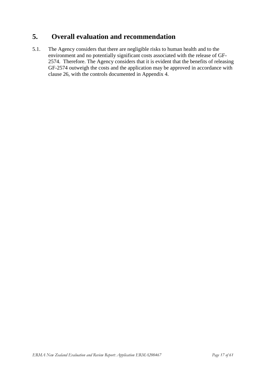# <span id="page-16-0"></span>**5. Overall evaluation and recommendation**

5.1. The Agency considers that there are negligible risks to human health and to the environment and no potentially significant costs associated with the release of GF-2574. Therefore. The Agency considers that it is evident that the benefits of releasing GF-2574 outweigh the costs and the application may be approved in accordance with clause 26, with the controls documented in Appendix 4.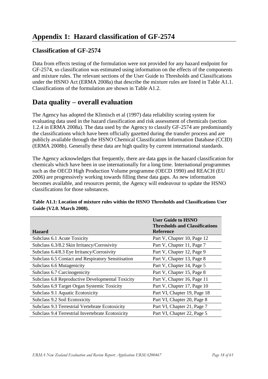# <span id="page-17-0"></span>**Classification of GF-2574**

Data from effects testing of the formulation were not provided for any hazard endpoint for GF-2574, so classification was estimated using information on the effects of the components and mixture rules. The relevant sections of the User Guide to Thresholds and Classifications under the HSNO Act (ERMA 2008a) that describe the mixture rules are listed in Table A1.1. Classifications of the formulation are shown in Table A1.2.

# **Data quality – overall evaluation**

The Agency has adopted the Klimisch et al (1997) data reliability scoring system for evaluating data used in the hazard classification and risk assessment of chemicals (section 1.2.4 in ERMA 2008a). The data used by the Agency to classify GF-2574 are predominantly the classifications which have been officially gazetted during the transfer process and are publicly available through the HSNO Chemical Classification Information Database (CCID) (ERMA 2008b). Generally these data are high quality by current international standards.

The Agency acknowledges that frequently, there are data gaps in the hazard classification for chemicals which have been in use internationally for a long time. International programmes such as the OECD High Production Volume programme (OECD 1990) and REACH (EU 2006) are progressively working towards filling these data gaps. As new information becomes available, and resources permit, the Agency will endeavour to update the HSNO classifications for those substances.

| <b>Hazard</b>                                      | <b>User Guide to HSNO</b><br><b>Thresholds and Classifications</b><br><b>Reference</b> |
|----------------------------------------------------|----------------------------------------------------------------------------------------|
| Subclass 6.1 Acute Toxicity                        | Part V, Chapter 10, Page 12                                                            |
| Subclass 6.3/8.2 Skin Irritancy/Corrosivity        | Part V, Chapter 11, Page 7                                                             |
| Subclass 6.4/8.3 Eye Irritancy/Corrosivity         | Part V, Chapter 12, Page 9                                                             |
| Subclass 6.5 Contact and Respiratory Sensitisation | Part V, Chapter 13, Page 8                                                             |
| Subclass 6.6 Mutagenicity                          | Part V, Chapter 14, Page 5                                                             |
| Subclass 6.7 Carcinogenicity                       | Part V, Chapter 15, Page 8                                                             |
| Subclass 6.8 Reproductive Developmental Toxicity   | Part V, Chapter 16, Page 11                                                            |
| Subclass 6.9 Target Organ Systemic Toxicity        | Part V, Chapter 17, Page 10                                                            |
| Subclass 9.1 Aquatic Ecotoxicity                   | Part VI, Chapter 19, Page 18                                                           |
| Subclass 9.2 Soil Ecotoxicity                      | Part VI, Chapter 20, Page 8                                                            |
| Subclass 9.3 Terrestrial Vertebrate Ecotoxicity    | Part VI, Chapter 21, Page 7                                                            |
| Subclass 9.4 Terrestrial Invertebrate Ecotoxicity  | Part VI, Chapter 22, Page 5                                                            |

**Table A1.1: Location of mixture rules within the HSNO Thresholds and Classifications User Guide (V2.0. March 2008).**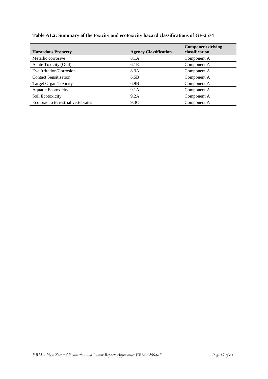|  | Table A1.2: Summary of the toxicity and ecotoxicity hazard classifications of GF-2574 |
|--|---------------------------------------------------------------------------------------|
|  |                                                                                       |

| <b>Hazardous Property</b>           | <b>Agency Classification</b> | <b>Component driving</b><br>classification |
|-------------------------------------|------------------------------|--------------------------------------------|
| Metallic corrosive                  | 8.1A                         | Component A                                |
| Acute Toxicity (Oral)               | 6.1E                         | Component A                                |
| Eye Irritation/Corrosion            | 8.3A                         | Component A                                |
| <b>Contact Sensitisation</b>        | 6.5B                         | Component A                                |
| <b>Target Organ Toxicity</b>        | 6.9B                         | Component A                                |
| <b>Aquatic Ecotoxicity</b>          | 9.1A                         | Component A                                |
| Soil Ecotoxicity                    | 9.2A                         | Component A                                |
| Ecotoxic to terrestrial vertebrates | 9.3C                         | Component A                                |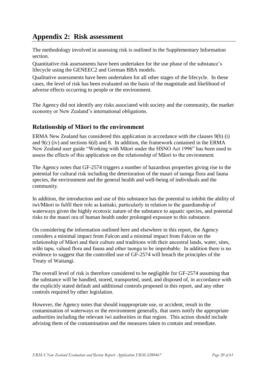# <span id="page-19-0"></span>**Appendix 2: Risk assessment**

The methodology involved in assessing risk is outlined in the Supplementary Information section.

Quantitative risk assessments have been undertaken for the use phase of the substance"s lifecycle using the GENEEC2 and German BBA models.

Qualitative assessments have been undertaken for all other stages of the lifecycle. In these cases, the level of risk has been evaluated on the basis of the magnitude and likelihood of adverse effects occurring to people or the environment.

The Agency did not identify any risks associated with society and the community, the market economy or New Zealand"s international obligations.

# **Relationship of Māori to the environment**

ERMA New Zealand has considered this application in accordance with the clauses 9(b) (i) and 9(c) (iv) and sections 6(d) and 8. In addition, the framework contained in the ERMA New Zealand user guide "Working with Māori under the HSNO Act 1996" has been used to assess the effects of this application on the relationship of Māori to the environment.

The Agency notes that GF-2574 triggers a number of hazardous properties giving rise to the potential for cultural risk including the deterioration of the mauri of taonga flora and fauna species, the environment and the general health and well-being of individuals and the community.

In addition, the introduction and use of this substance has the potential to inhibit the ability of iwi/Māori to fulfil their role as kaitiaki, particularly in relation to the guardianship of waterways given the highly ecotoxic nature of the substance to aquatic species, and potential risks to the mauri ora of human health under prolonged exposure to this substance.

On considering the information outlined here and elsewhere in this report, the Agency considers a minimal impact from Falcon and a minimal impact from Falcon on the relationship of Māori and their culture and traditions with their ancestral lands, water, sites, wāhi tapu, valued flora and fauna and other taonga to be improbable. In addition there is no evidence to suggest that the controlled use of GF-2574 will breach the principles of the Treaty of Waitangi.

The overall level of risk is therefore considered to be negligible for GF-2574 assuming that the substance will be handled, stored, transported, used, and disposed of, in accordance with the explicitly stated default and additional controls proposed in this report, and any other controls required by other legislation.

However, the Agency notes that should inappropriate use, or accident, result in the contamination of waterways or the environment generally, that users notify the appropriate authorities including the relevant iwi authorities in that region. This action should include advising them of the contamination and the measures taken to contain and remediate.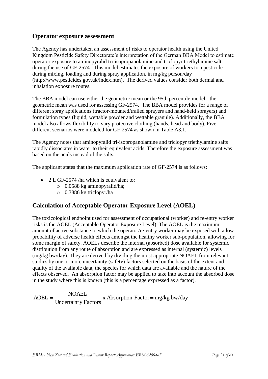# **Operator exposure assessment**

The Agency has undertaken an assessment of risks to operator health using the United Kingdom Pesticide Safety Directorate's interpretation of the German BBA Model to estimate operator exposure to aminopyralid tri-isopropanolamine and triclopyr triethylamine salt during the use of GF-2574. This model estimates the exposure of workers to a pesticide during mixing, loading and during spray application, in mg/kg person/day (http://www.pesticides.gov.uk/index.htm). The derived values consider both dermal and inhalation exposure routes.

The BBA model can use either the geometric mean or the 95th percentile model - the geometric mean was used for assessing GF-2574. The BBA model provides for a range of different spray applications (tractor-mounted/trailed sprayers and hand-held sprayers) and formulation types (liquid, wettable powder and wettable granule). Additionally, the BBA model also allows flexibility to vary protective clothing (hands, head and body). Five different scenarios were modeled for GF-2574 as shown in Table A3.1.

The Agency notes that aminopyralid tri-isopropanolamine and triclopyr triethylamine salts rapidly dissociates in water to their equivalent acids. Therefore the exposure assessment was based on the acids instead of the salts.

The applicant states that the maximum application rate of GF-2574 is as follows:

- 2 L GF-2574 /ha which is equivalent to:
	- o 0.0588 kg aminopyralid/ha;
	- o 0.3886 kg triclopyr/ha

# **Calculation of Acceptable Operator Exposure Level (AOEL)**

The toxicological endpoint used for assessment of occupational (worker) and re-entry worker risks is the AOEL (Acceptable Operator Exposure Level). The AOEL is the maximum amount of active substance to which the operator/re-entry worker may be exposed with a low probability of adverse health effects amongst the healthy worker sub-population, allowing for some margin of safety. AOELs describe the internal (absorbed) dose available for systemic distribution from any route of absorption and are expressed as internal (systemic) levels (mg/kg bw/day). They are derived by dividing the most appropriate NOAEL from relevant studies by one or more uncertainty (safety) factors selected on the basis of the extent and quality of the available data, the species for which data are available and the nature of the effects observed. An absorption factor may be applied to take into account the absorbed dose in the study where this is known (this is a percentage expressed as a factor).

 $x$  Absorption Factor = mg/kg bw/day Uncertainty Factors  $AOEL = \frac{NOAEL}{V}$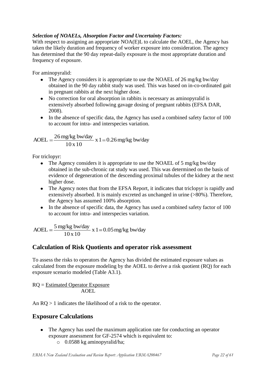### *Selection of NOAELs, Absorption Factor and Uncertainty Factors:*

With respect to assigning an appropriate NOA(E)L to calculate the AOEL, the Agency has taken the likely duration and frequency of worker exposure into consideration. The agency has determined that the 90 day repeat-daily exposure is the most appropriate duration and frequency of exposure.

For aminopyralid:

- The Agency considers it is appropriate to use the NOAEL of 26 mg/kg bw/day obtained in the 90 day rabbit study was used. This was based on in-co-ordinated gait in pregnant rabbits at the next higher dose.
- No correction for oral absorption in rabbits is necessary as aminopyralid is extensively absorbed following gavage dosing of pregnant rabbits (EFSA DAR, 2008).
- In the absence of specific data, the Agency has used a combined safety factor of 100 to account for intra- and interspecies variation.

AOEL = 
$$
\frac{26 \text{ mg/kg bw/day}}{10 \text{ x } 10} \text{ x } 1 = 0.26 \text{ mg/kg bw/day}
$$

For triclopyr:

- The Agency considers it is appropriate to use the NOAEL of 5 mg/kg bw/day obtained in the sub-chronic rat study was used. This was determined on the basis of evidence of degeneration of the descending proximal tubules of the kidney at the next higher dose.
- The Agency notes that from the EFSA Report, it indicates that triclopyr is rapidly and extensively absorbed. It is mainly excreted as unchanged in urine (>80%). Therefore, the Agency has assumed 100% absorption.
- In the absence of specific data, the Agency has used a combined safety factor of 100 to account for intra- and interspecies variation.

 $x 1 = 0.05$  mg/kg bw/day 10 x 10  $A OEL = \frac{5 \text{ mg/kg} \text{ bw/day}}{100 \text{ Hz}}$ 

# **Calculation of Risk Quotients and operator risk assessment**

To assess the risks to operators the Agency has divided the estimated exposure values as calculated from the exposure modeling by the AOEL to derive a risk quotient (RQ) for each exposure scenario modeled (Table A3.1).

RQ = Estimated Operator Exposure AOEL

An RQ > 1 indicates the likelihood of a risk to the operator.

# **Exposure Calculations**

- The Agency has used the maximum application rate for conducting an operator exposure assessment for GF-2574 which is equivalent to:
	- o 0.0588 kg aminopyralid/ha;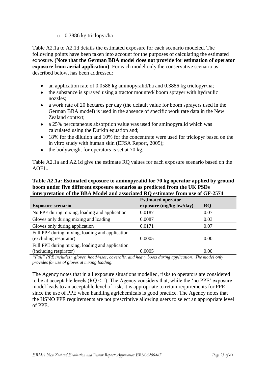#### o 0.3886 kg triclopyr/ha

Table A2.1a to A2.1d details the estimated exposure for each scenario modeled. The following points have been taken into account for the purposes of calculating the estimated exposure. **(Note that the German BBA model does not provide for estimation of operator exposure from aerial application)**. For each model only the conservative scenario as described below, has been addressed:

- an application rate of 0.0588 kg aminopyralid/ha and 0.3886 kg triclopyr/ha;
- the substance is sprayed using a tractor mounted/boom sprayer with hydraulic nozzles;
- a work rate of 20 hectares per day (the default value for boom sprayers used in the German BBA model) is used in the absence of specific work rate data in the New Zealand context;
- a 25% percutaneous absorption value was used for aminopyralid which was calculated using the Durkin equation and;
- 18% for the dilution and 10% for the concentrate were used for triclopyr based on the in vitro study with human skin (EFSA Report, 2005);
- $\bullet$ the bodyweight for operators is set at 70 kg.

Table A2.1a and A2.1d give the estimate RQ values for each exposure scenario based on the AOEL.

#### **Table A2.1a: Estimated exposure to aminopyralid for 70 kg operator applied by ground boom under five different exposure scenarios as predicted from the UK PSDs interpretation of the BBA Model and associated RQ estimates from use of GF-2574**

|                                                 | <b>Estimated operator</b> |           |
|-------------------------------------------------|---------------------------|-----------|
| <b>Exposure scenario</b>                        | exposure (mg/kg bw/day)   | <b>RQ</b> |
| No PPE during mixing, loading and application   | 0.0187                    | 0.07      |
| Gloves only during mixing and loading           | 0.0087                    | 0.03      |
| Gloves only during application                  | 0.0171                    | 0.07      |
| Full PPE during mixing, loading and application |                           |           |
| (excluding respirator)                          | 0.0005                    | 0.00      |
| Full PPE during mixing, loading and application |                           |           |
| (including respirator)                          | 0.0005                    | 0.00      |

*"Full" PPE includes: gloves, hood/visor, coveralls, and heavy boots during application. The model only provides for use of gloves at mixing loading.*

The Agency notes that in all exposure situations modelled, risks to operators are considered to be at acceptable levels  $(RO < 1)$ . The Agency considers that, while the 'no PPE' exposure model leads to an acceptable level of risk, it is appropriate to retain requirements for PPE since the use of PPE when handling agrichemicals is good practice. The Agency notes that the HSNO PPE requirements are not prescriptive allowing users to select an appropriate level of PPE.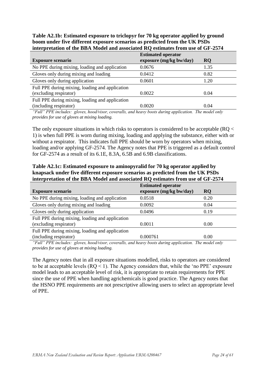**Table A2.1b: Estimated exposure to triclopyr for 70 kg operator applied by ground boom under five different exposure scenarios as predicted from the UK PSDs interpretation of the BBA Model and associated RQ estimates from use of GF-2574** 

|                                                 | <b>Estimated operator</b> |           |
|-------------------------------------------------|---------------------------|-----------|
| <b>Exposure scenario</b>                        | exposure (mg/kg bw/day)   | <b>RQ</b> |
| No PPE during mixing, loading and application   | 0.0676                    | 1.35      |
| Gloves only during mixing and loading           | 0.0412                    | 0.82      |
| Gloves only during application                  | 0.0601                    | 1.20      |
| Full PPE during mixing, loading and application |                           |           |
| (excluding respirator)                          | 0.0022                    | 0.04      |
| Full PPE during mixing, loading and application |                           |           |
| (including respirator)                          | 0.0020                    | 0.04      |

*"Full" PPE includes: gloves, hood/visor, coveralls, and heavy boots during application. The model only provides for use of gloves at mixing loading.*

The only exposure situations in which risks to operators is considered to be acceptable (RQ < 1) is when full PPE is worn during mixing, loading and applying the substance, either with or without a respirator. This indicates full PPE should be worn by operators when mixing, loading and/or applying GF-2574. The Agency notes that PPE is triggered as a default control for GF-2574 as a result of its 6.1E, 8.3A, 6.5B and 6.9B classifications.

**Table A2.1c: Estimated exposure to aminopyralid for 70 kg operator applied by knapsack under five different exposure scenarios as predicted from the UK PSDs interpretation of the BBA Model and associated RQ estimates from use of GF-2574** 

|                                                 | <b>Estimated operator</b> |           |
|-------------------------------------------------|---------------------------|-----------|
| <b>Exposure scenario</b>                        | exposure (mg/kg bw/day)   | <b>RQ</b> |
| No PPE during mixing, loading and application   | 0.0518                    | 0.20      |
| Gloves only during mixing and loading           | 0.0092                    | 0.04      |
| Gloves only during application                  | 0.0496                    | 0.19      |
| Full PPE during mixing, loading and application |                           |           |
| (excluding respirator)                          | 0.0011                    | 0.00      |
| Full PPE during mixing, loading and application |                           |           |
| (including respirator)                          | 0.000761                  | 0.00      |

*"Full" PPE includes: gloves, hood/visor, coveralls, and heavy boots during application. The model only provides for use of gloves at mixing loading.*

The Agency notes that in all exposure situations modelled, risks to operators are considered to be at acceptable levels  $(RO < 1)$ . The Agency considers that, while the 'no PPE' exposure model leads to an acceptable level of risk, it is appropriate to retain requirements for PPE since the use of PPE when handling agrichemicals is good practice. The Agency notes that the HSNO PPE requirements are not prescriptive allowing users to select an appropriate level of PPE.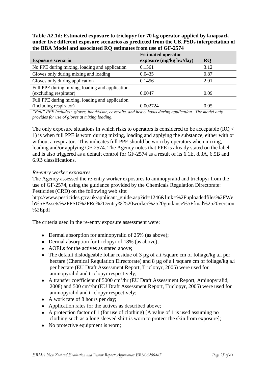**Table A2.1d: Estimated exposure to triclopyr for 70 kg operator applied by knapsack under five different exposure scenarios as predicted from the UK PSDs interpretation of the BBA Model and associated RQ estimates from use of GF-2574** 

| <b>Exposure scenario</b>                        | <b>Estimated operator</b><br>exposure (mg/kg bw/day) | <b>RQ</b> |
|-------------------------------------------------|------------------------------------------------------|-----------|
| No PPE during mixing, loading and application   | 0.1561                                               | 3.12      |
| Gloves only during mixing and loading           | 0.0435                                               | 0.87      |
| Gloves only during application                  | 0.1456                                               | 2.91      |
| Full PPE during mixing, loading and application |                                                      |           |
| (excluding respirator)                          | 0.0047                                               | 0.09      |
| Full PPE during mixing, loading and application |                                                      |           |
| (including respirator)                          | 0.002724                                             | 0.05      |

*"Full" PPE includes: gloves, hood/visor, coveralls, and heavy boots during application. The model only provides for use of gloves at mixing loading.*

The only exposure situations in which risks to operators is considered to be acceptable (RQ < 1) is when full PPE is worn during mixing, loading and applying the substance, either with or without a respirator. This indicates full PPE should be worn by operators when mixing, loading and/or applying GF-2574. The Agency notes that PPE is already stated on the label and is also triggered as a default control for GF-2574 as a result of its 6.1E, 8.3A, 6.5B and 6.9B classifications.

#### *Re-entry worker exposures*

The Agency assessed the re-entry worker exposures to aminopyralid and triclopyr from the use of GF-2574, using the guidance provided by the Chemicals Regulation Directorate: Pesticides (CRD) on the following web site:

http://www.pesticides.gov.uk/applicant\_guide.asp?id=1246&link=%2Fuploadedfiles%2FWe b%5FAssets%2FPSD%2FRe%2Dentry%2520worker%2520guidance%5Ffinal%2520version %2Epdf

The criteria used in the re-entry exposure assessment were:

- Dermal absorption for aminopyralid of 25% (as above);
- Dermal absorption for triclopyr of 18% (as above);
- AOELs for the actives as stated above:
- The default dislodgeable foliar residue of 3 µg of a.i./square cm of foliage/kg a.i per hectare (Chemical Regulation Directorate) and 8 µg of a.i./square cm of foliage/kg a.i per hectare (EU Draft Assessment Report, Triclopyr, 2005) were used for aminopyralid and triclopyr respectively;
- A transfer coefficient of 5000 cm<sup>2</sup>/hr (EU Draft Assessment Report, Aminopyralid, 2008) and 500 cm<sup>2</sup>/hr (EU Draft Assessment Report, Triclopyr, 2005) were used for aminopyralid and triclopyr respectively;
- A work rate of 8 hours per day;
- Application rates for the actives as described above;
- A protection factor of 1 (for use of clothing) [A value of 1 is used assuming no clothing such as a long sleeved shirt is worn to protect the skin from exposure];
- No protective equipment is worn;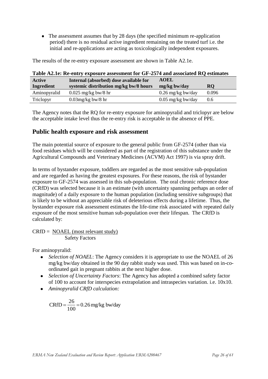• The assessment assumes that by 28 days (the specified minimum re-application period) there is no residual active ingredient remaining on the treated turf i.e. the initial and re-applications are acting as toxicologically independent exposures.

| Table AZ.Ie: Re-entry exposure assessment for GF-2574 and associated RQ estimates |                                        |                     |               |
|-----------------------------------------------------------------------------------|----------------------------------------|---------------------|---------------|
| Active                                                                            | Internal (absorbed) dose available for | <b>AOEL</b>         |               |
| Ingredient                                                                        | systemic distribution mg/kg bw/8 hours | mg/kg bw/day        | <b>RQ</b>     |
| Aminopyralid                                                                      | $0.025$ mg/kg bw/8 hr                  | $0.26$ mg/kg bw/day | 0.096         |
| Triclopyr                                                                         | $0.03$ mg/kg bw/8 hr                   | $0.05$ mg/kg bw/day | $0.6^{\circ}$ |

The results of the re-entry exposure assessment are shown in Table A2.1e.

|                                                                                         | The Agency notes that the RQ for re-entry exposure for aminopyralid and triclopyr are below |
|-----------------------------------------------------------------------------------------|---------------------------------------------------------------------------------------------|
| the acceptable intake level thus the re-entry risk is acceptable in the absence of PPE. |                                                                                             |

# **Table A2.1e: Re-entry exposure assessment for GF-2574 and associated RQ estimates**

# **Public health exposure and risk assessment**

The main potential source of exposure to the general public from GF-2574 (other than via food residues which will be considered as part of the registration of this substance under the Agricultural Compounds and Veterinary Medicines (ACVM) Act 1997) is via spray drift.

In terms of bystander exposure, toddlers are regarded as the most sensitive sub-population and are regarded as having the greatest exposures. For these reasons, the risk of bystander exposure to GF-2574 was assessed in this sub-population. The oral chronic reference dose (CRfD) was selected because it is an estimate (with uncertainty spanning perhaps an order of magnitude) of a daily exposure to the human population (including sensitive subgroups) that is likely to be without an appreciable risk of deleterious effects during a lifetime. Thus, the bystander exposure risk assessment estimates the life-time risk associated with repeated daily exposure of the most sensitive human sub-population over their lifespan. The CRfD is calculated by:

 $CRfD = NOAEL (most relevant study)$ Safety Factors

For aminopyralid:

- *Selection of NOAEL*: The Agency considers it is appropriate to use the NOAEL of 26 mg/kg bw/day obtained in the 90 day rabbit study was used. This was based on in-coordinated gait in pregnant rabbits at the next higher dose.
- *Selection of Uncertainty Factors*: The Agency has adopted a combined safety factor of 100 to account for interspecies extrapolation and intraspecies variation. i.e. 10x10.
- *Aminopyralid CRfD calculation:*

$$
CRfD = \frac{26}{100} = 0.26 \text{ mg/kg bw/day}
$$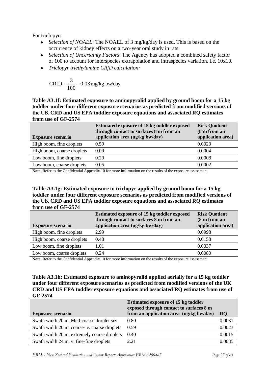For triclopyr:

- *Selection of NOAEL*: The NOAEL of 3 mg/kg/day is used. This is based on the occurrence of kidney effects on a two-year oral study in rats.
- *Selection of Uncertainty Factors*: The Agency has adopted a combined safety factor of 100 to account for interspecies extrapolation and intraspecies variation. i.e. 10x10.
- *Triclopyr triethylamine CRfD calculation:*

$$
CRfD = \frac{3}{100} = 0.03 \text{ mg/kg}
$$
bw/day

**Table A3.1f: Estimated exposure to aminopyralid applied by ground boom for a 15 kg toddler under four different exposure scenarios as predicted from modified versions of the UK CRD and US EPA toddler exposure equations and associated RQ estimates from use of GF-2574** 

| <b>Exposure scenario</b>   | <b>Estimated exposure of 15 kg toddler exposed</b><br>through contact to surfaces 8 m from an<br>application area (µg/kg bw/day) | <b>Risk Quotient</b><br>(8 m from an<br>application area) |
|----------------------------|----------------------------------------------------------------------------------------------------------------------------------|-----------------------------------------------------------|
| High boom, fine droplets   | 0.59                                                                                                                             | 0.0023                                                    |
| High boom, coarse droplets | 0.09                                                                                                                             | 0.0004                                                    |
| Low boom, fine droplets    | 0.20                                                                                                                             | 0.0008                                                    |
| Low boom, coarse droplets  | 0.05                                                                                                                             | 0.0002                                                    |

**Note**: Refer to the Confidential Appendix 10 for more information on the results of the exposure assessment

**Table A3.1g: Estimated exposure to triclopyr applied by ground boom for a 15 kg toddler under four different exposure scenarios as predicted from modified versions of the UK CRD and US EPA toddler exposure equations and associated RQ estimates from use of GF-2574** 

|                            | <b>Estimated exposure of 15 kg toddler exposed</b><br>through contact to surfaces 8 m from an | <b>Risk Quotient</b><br>(8 m from an |
|----------------------------|-----------------------------------------------------------------------------------------------|--------------------------------------|
| <b>Exposure scenario</b>   | application area (µg/kg bw/day)                                                               | application area)                    |
| High boom, fine droplets   | 2.99                                                                                          | 0.0998                               |
| High boom, coarse droplets | 0.48                                                                                          | 0.0158                               |
| Low boom, fine droplets    | 1.01                                                                                          | 0.0337                               |
| Low boom, coarse droplets  | 0.24                                                                                          | 0.0080                               |

**Note**: Refer to the Confidential Appendix 10 for more information on the results of the exposure assessment

#### **Table A3.1h: Estimated exposure to aminopyralid applied aerially for a 15 kg toddler under four different exposure scenarios as predicted from modified versions of the UK CRD and US EPA toddler exposure equations and associated RQ estimates from use of GF-2574**

|                                             | <b>Estimated exposure of 15 kg toddler</b><br>exposed through contact to surfaces 8 m |           |
|---------------------------------------------|---------------------------------------------------------------------------------------|-----------|
| <b>Exposure scenario</b>                    | from an application area (ug/kg bw/day)                                               | <b>RQ</b> |
| Swath width 20 m, Med-coarse droplet size   | 0.80                                                                                  | 0.0031    |
| Swath width 20 m, coarse-v. coarse droplets | 0.59                                                                                  | 0.0023    |
| Swath width 20 m, extremely coarse droplets | 0.40                                                                                  | 0.0015    |
| Swath width 24 m, v. fine-fine droplets     | 2.21                                                                                  | 0.0085    |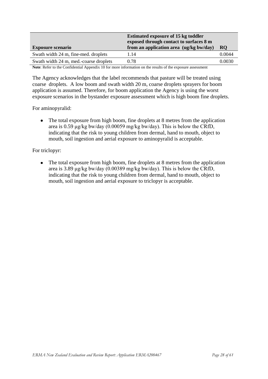| <b>Exposure scenario</b>               | <b>Estimated exposure of 15 kg toddler</b><br>exposed through contact to surfaces 8 m<br>from an application area (ug/kg bw/day) | RO.    |
|----------------------------------------|----------------------------------------------------------------------------------------------------------------------------------|--------|
| Swath width 24 m, fine-med. droplets   | 1.14                                                                                                                             | 0.0044 |
| Swath width 24 m, med.-coarse droplets | 0.78                                                                                                                             | 0.0030 |

**Note**: Refer to the Confidential Appendix 10 for more information on the results of the exposure assessment

The Agency acknowledges that the label recommends that pasture will be treated using coarse droplets. A low boom and swath width 20 m, coarse droplets sprayers for boom application is assumed. Therefore, for boom application the Agency is using the worst exposure scenarios in the bystander exposure assessment which is high boom fine droplets.

For aminopyralid:

The total exposure from high boom, fine droplets at 8 metres from the application  $\bullet$ area is 0.59 μg/kg bw/day (0.00059 mg/kg bw/day). This is below the CRfD, indicating that the risk to young children from dermal, hand to mouth, object to mouth, soil ingestion and aerial exposure to aminopyralid is acceptable.

For triclopyr:

The total exposure from high boom, fine droplets at 8 metres from the application  $\bullet$ area is 3.89 μg/kg bw/day (0.00389 mg/kg bw/day). This is below the CRfD, indicating that the risk to young children from dermal, hand to mouth, object to mouth, soil ingestion and aerial exposure to triclopyr is acceptable.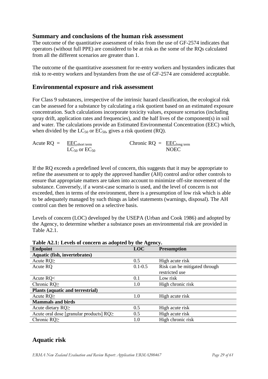### **Summary and conclusions of the human risk assessment**

The outcome of the quantitative assessment of risks from the use of GF-2574 indicates that operators (without full PPE) are considered to be at risk as the some of the RQs calculated from all the different scenarios are greater than 1.

The outcome of the quantitative assessment for re-entry workers and bystanders indicates that risk to re-entry workers and bystanders from the use of GF-2574 are considered acceptable.

### **Environmental exposure and risk assessment**

For Class 9 substances, irrespective of the intrinsic hazard classification, the ecological risk can be assessed for a substance by calculating a risk quotient based on an estimated exposure concentration. Such calculations incorporate toxicity values, exposure scenarios (including spray drift, application rates and frequencies), and the half lives of the component(s) in soil and water. The calculations provide an Estimated Environmental Concentration (EEC) which, when divided by the  $LC_{50}$  or  $EC_{50}$ , gives a risk quotient (RQ).

| Acute $RQ = EECshort term$ |                        | Chronic $RQ = \underline{EEC}_{\text{long term}}$ |             |
|----------------------------|------------------------|---------------------------------------------------|-------------|
|                            | $LC_{50}$ or $EC_{50}$ |                                                   | <b>NOEC</b> |

If the RQ exceeds a predefined level of concern, this suggests that it may be appropriate to refine the assessment or to apply the approved handler (AH) control and/or other controls to ensure that appropriate matters are taken into account to minimize off-site movement of the substance. Conversely, if a worst-case scenario is used, and the level of concern is not exceeded, then in terms of the environment, there is a presumption of low risk which is able to be adequately managed by such things as label statements (warnings, disposal). The AH control can then be removed on a selective basis.

Levels of concern (LOC) developed by the USEPA (Urban and Cook 1986) and adopted by the Agency, to determine whether a substance poses an environmental risk are provided in Table A2.1.

| <b>Lable A2.1.</b> Levels of concern as adopted by the Agency. |             |                               |  |
|----------------------------------------------------------------|-------------|-------------------------------|--|
| Endpoint                                                       | <b>LOC</b>  | <b>Presumption</b>            |  |
| Aquatic (fish, invertebrates)                                  |             |                               |  |
| Acute $RQ \geq$                                                | 0.5         | High acute risk               |  |
| Acute RQ                                                       | $0.1 - 0.5$ | Risk can be mitigated through |  |
|                                                                |             | restricted use                |  |
| Acute $RQ<$                                                    | 0.1         | Low risk                      |  |
| Chronic RQ $\geq$                                              | 1.0         | High chronic risk             |  |
| <b>Plants (aquatic and terrestrial)</b>                        |             |                               |  |
| Acute $RQ \geq$                                                | 1.0         | High acute risk               |  |
| <b>Mammals and birds</b>                                       |             |                               |  |
| Acute dietary $RQ \geq$                                        | 0.5         | High acute risk               |  |
| Acute oral dose [granular products] $RQ \geq$                  | 0.5         | High acute risk               |  |
| Chronic $RQ \geq$                                              | 1.0         | High chronic risk             |  |

**Table A2.1: Levels of concern as adopted by the Agency.**

# **Aquatic risk**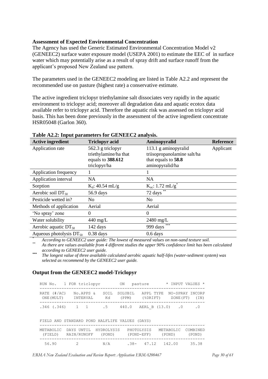#### **Assessment of Expected Environmental Concentration**

The Agency has used the Generic Estimated Environmental Concentration Model v2 (GENEEC2) surface water exposure model (USEPA 2001) to estimate the EEC of in surface water which may potentially arise as a result of spray drift and surface runoff from the applicant"s proposed New Zealand use pattern.

The parameters used in the GENEEC2 modeling are listed in Table A2.2 and represent the recommended use on pasture (highest rate) a conservative estimate.

The active ingredient triclopyr triethylamine salt dissociates very rapidly in the aquatic environment to triclopyr acid; moreover all degradation data and aquatic ecotox data available refer to triclopyr acid. Therefore the aquatic risk was assessed on triclopyr acid basis. This has been done previously in the assessment of the active ingredient concentrate HSR05048 (Garlon 360).

| <b>Active ingredient</b>     | <b>Triclopyr acid</b> | Aminopyralid                  | <b>Reference</b> |
|------------------------------|-----------------------|-------------------------------|------------------|
| Application rate             | 562.3 g triclopyr     | 113.1 g aminopyralid          | Applicant        |
|                              | triethylamine/ha that | triisopropanolamine salt/ha   |                  |
|                              | equals to 388.612     | that equals to 58.8           |                  |
|                              | triclopyr/ha          | aminopyralid/ha               |                  |
| Application frequency        |                       |                               |                  |
| Application interval         | <b>NA</b>             | <b>NA</b>                     |                  |
| Sorption                     | $K_d$ : 40.54 mL/g    | $K_{oc}: 1.72 \text{ mL/g}^*$ |                  |
| Aerobic soil $DT_{50}$       | 56.9 days             | 72 days                       |                  |
| Pesticide wetted in?         | N <sub>0</sub>        | N <sub>0</sub>                |                  |
| Methods of application       | Aerial                | Aerial                        |                  |
| 'No spray' zone              | 0                     | 0                             |                  |
| Water solubility             | $440 \text{ mg/L}$    | $2480$ mg/L                   |                  |
| Aerobic aquatic $DT_{50}$    | 142 days              | ***<br>999 days               |                  |
| Aqueous photolysis $DT_{50}$ | $0.38$ days           | $0.6$ days                    |                  |

#### **Table A2.2: Input parameters for GENEEC2 analysis.**

*\* According to GENEEC2 user guide: The lowest of measured values on non-sand texture soil.* 

*\*\* As there are values available from 4 different studies the upper 90% confidence limit has been calculated according to GENEEC2 user guide.*

*\*\*\* The longest value of three available calculated aerobic aquatic half-lifes (water-sediment system) was selected as recommend by the GENEEC2 user guide.*

#### **Output from the GENEEC2 model-Triclopyr**

|                              | RUN No. 1 FOR triclopyr                 |                      | ON               | pasture                    |                     | * INPUT VALUES          |
|------------------------------|-----------------------------------------|----------------------|------------------|----------------------------|---------------------|-------------------------|
| RATE $(\#/AC)$<br>ONE (MULT) | No.APPS &<br>INTERVAL                   | SOIL<br>Kd           | SOLUBIL<br>(PPM) | APPL TYPE<br>(%DRIFT)      | ZONE (FT)           | NO-SPRAY INCORP<br>(TN) |
| $.346$ (.346)                | 1<br>$\overline{1}$                     | . 5                  | 440.0            |                            | AERL B (13.0) .0    | . 0                     |
|                              | FIELD AND STANDARD POND HALFLIFE VALUES |                      |                  | (DAYS)                     |                     |                         |
| METABOLIC<br>(FIELD)         | DAYS UNTIL<br>RAIN/RUNOFF               | HYDROLYSIS<br>(POND) |                  | PHOTOLYSIS<br>$(POND-EFF)$ | METABOLIC<br>(POND) | COMBINED<br>(POND)      |
| 56.90                        |                                         | N/A                  | $.38-$           | 47.12                      | 142.00              | 35.38                   |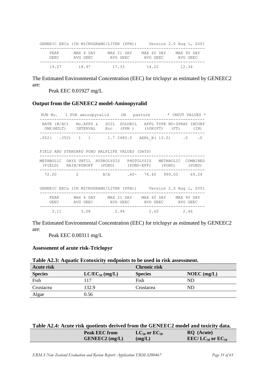|               |                       | GENERIC EECS (IN MICROGRAMS/LITER (PPB)) |                        | Version 2.0 Aug 1, 2001 |
|---------------|-----------------------|------------------------------------------|------------------------|-------------------------|
| PEAK<br>GEEC. | MAX 4 DAY<br>AVG GEEC | MAX 21 DAY<br>AVG GEEC                   | MAX 60 DAY<br>AVG GEEC | MAX 90 DAY<br>AVG GEEC  |
| 19.27         | 18.97                 | 17.33                                    | 14.22                  | 12.34                   |

The Estimated Environmental Concentration (EEC) for triclopyr as estimated by GENEEC2 are:

Peak EEC 0.01927 mg/L

#### **Output from the GENEEC2 model-Aminopyralid**

|                                                |                |                         | RUN No. 1 FOR aminopyralid ON pasture * INPUT VALUES * |
|------------------------------------------------|----------------|-------------------------|--------------------------------------------------------|
| RATE $(\#/AC)$<br>ONE (MULT) INTERVAL          | No.APPS & SOIL | Koc (PPM) (%DRIFT) (FT) | SOLUBIL APPL TYPE NO-SPRAY INCORP<br>(TN)              |
|                                                |                |                         | $.052$ ( $.052$ ) 1 1 1 1.7 2480.0 AERL B (13.0) 0 .0  |
| FIELD AND STANDARD POND HALFLIFE VALUES (DAYS) |                |                         |                                                        |

|  |                            | METABOLIC DAYSUNTIL HYDROLYSIS PHOTOLYSIS | METABOLIC COMBINED |        |
|--|----------------------------|-------------------------------------------|--------------------|--------|
|  | (FIELD) RAIN/RUNOFF (POND) | (POND-EFF)                                | (POND)             | (POND) |
|  |                            |                                           |                    |        |

| 72.00                                    | $\overline{2}$ | N/A | .60 - 74.40 999.00      |  | 69.24 |
|------------------------------------------|----------------|-----|-------------------------|--|-------|
|                                          |                |     |                         |  |       |
| GENERIC EECS (IN MICROGRAMS/LITER (PPB)) |                |     | Version 2.0 Aug 1, 2001 |  |       |

| PEAK  | MAX 4 DAY | MAX 21 DAY | MAX 60 DAY | MAX 90 DAY |
|-------|-----------|------------|------------|------------|
| GEEC. | AVG GEEC  | AVG GEEC   | AVG GEEC   | AVG GEEC   |
| 3.11  | 3.08      | 2.94       | 2.65       | 2.46       |

The Estimated Environmental Concentration (EEC) for triclopyr as estimated by GENEEC2 are:

Peak EEC 0.00311 mg/L

#### **Assessment of acute risk-Triclopyr**

#### **Table A2.3: Aquatic Ecotoxicity endpoints to be used in risk assessment.**

| <b>Acute risk</b> |                     | <b>Chronic risk</b> |               |
|-------------------|---------------------|---------------------|---------------|
| <b>Species</b>    | $LC/EC_{50}$ (mg/L) | <b>Species</b>      | $NOEC$ (mg/L) |
| Fish              | 117                 | Fish                | ND            |
| Crustacea         | 132.9               | Crustacea           | ND            |
| Algae             | 0.56                |                     |               |

| Table A2.4: Acute risk quotients derived from the GENEEC2 model and toxicity data. |  |
|------------------------------------------------------------------------------------|--|
|------------------------------------------------------------------------------------|--|

| <b>Peak EEC from</b> | $LC_{50}$ or $EC_{50}$ | <b>RO</b> (Acute)                        |
|----------------------|------------------------|------------------------------------------|
| $GENEEC2$ (mg/L)     | (mg/L)                 | EEC/LC <sub>50</sub> or EC <sub>50</sub> |
|                      |                        |                                          |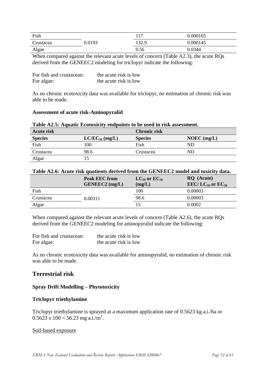| Fish       |        | 1 <sub>7</sub> | 0.000165 |
|------------|--------|----------------|----------|
| .)rustacea | 0.0193 | 132.9          | 0.000145 |
| Algae      |        | 0.56           | 0.0344   |

When compared against the relevant acute levels of concern (Table A2.3), the acute RQs derived from the GENEEC2 modeling for triclopyr indicate the following:

| For fish and crustacean: | the acute risk is low |
|--------------------------|-----------------------|
| For algae:               | the acute risk is low |

As no chronic ecotoxicity data was available for triclopyr, no estimation of chronic risk was able to be made.

#### **Assessment of acute risk-Aminopyralid**

### **Table A2.5: Aquatic Ecotoxicity endpoints to be used in risk assessment. Acute risk Chronic risk Species LC/EC**<sub>50</sub> (mg/L) **Species NOEC** (mg/L) Fish 100 Fish ND Crustacea 98.6 Crustacea ND Algae 15

#### **Table A2.6: Acute risk quotients derived from the GENEEC2 model and toxicity data.**

|           | <b>Peak EEC from</b><br>$GENEEC2$ (mg/L) | $LC_{50}$ or $EC_{50}$<br>(mg/L) | RQ (Acute)<br>EEC/LC <sub>50</sub> or EC <sub>50</sub> |
|-----------|------------------------------------------|----------------------------------|--------------------------------------------------------|
| Fish      |                                          | 100                              | 0.00003                                                |
| Crustacea | 0.00311                                  | 98.6                             | 0.00003                                                |
| Algae     |                                          |                                  | 0.0002                                                 |

When compared against the relevant acute levels of concern (Table A2.6), the acute RQs derived from the GENEEC2 modeling for aminopyralid indicate the following:

| For fish and crustacean: | the acute risk is low |
|--------------------------|-----------------------|
| For algae:               | the acute risk is low |

As no chronic ecotoxicity data was available for aminopyralid, no estimation of chronic risk was able to be made.

# **Terrestrial risk**

#### **Spray Drift Modelling – Phytotoxicity**

#### **Triclopyr triethylamine**

Triclopyr triethylamine is sprayed at a maximum application rate of 0.5623 kg a.i./ha or  $0.5623 \times 100 = 56.23$  mg a.i./m<sup>2</sup>.

#### Soil-based exposure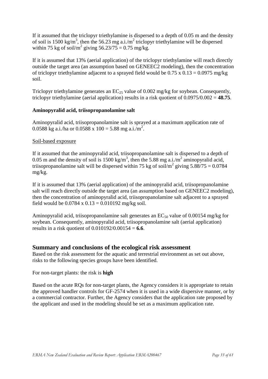If it assumed that the triclopyr triethylamine is dispersed to a depth of 0.05 m and the density of soil is 1500 kg/m<sup>3</sup>, then the 56.23 mg a.i./m<sup>2</sup> triclopyr triethylamine will be dispersed within 75 kg of soil/m<sup>2</sup> giving  $56.23/75 = 0.75$  mg/kg.

If it is assumed that 13% (aerial application) of the triclopyr triethylamine will reach directly outside the target area (an assumption based on GENEEC2 modeling), then the concentration of triclopyr triethylamine adjacent to a sprayed field would be  $0.75 \times 0.13 = 0.0975$  mg/kg soil.

Triclopyr triethylamine generates an  $EC_{25}$  value of 0.002 mg/kg for soybean. Consequently, triclopyr triethylamine (aerial application) results in a risk quotient of 0.0975/0.002 = **48.75**.

#### **Aminopyralid acid, triisopropanolamine salt**

Aminopyralid acid, triisopropanolamine salt is sprayed at a maximum application rate of 0.0588 kg a.i./ha or 0.0588 x 100 = 5.88 mg a.i./m<sup>2</sup>.

### Soil-based exposure

If it assumed that the aminopyralid acid, triisopropanolamine salt is dispersed to a depth of 0.05 m and the density of soil is 1500 kg/m<sup>3</sup>, then the 5.88 mg a.i./m<sup>2</sup> aminopyralid acid, triisopropanolamine salt will be dispersed within 75 kg of soil/m<sup>2</sup> giving  $5.88/75 = 0.0784$ mg/kg.

If it is assumed that 13% (aerial application) of the aminopyralid acid, triisopropanolamine salt will reach directly outside the target area (an assumption based on GENEEC2 modeling), then the concentration of aminopyralid acid, triisopropanolamine salt adjacent to a sprayed field would be  $0.0784 \times 0.13 = 0.010192$  mg/kg soil.

Aminopyralid acid, triisopropanolamine salt generates an  $EC_{50}$  value of 0.00154 mg/kg for soybean. Consequently, aminopyralid acid, triisopropanolamine salt (aerial application) results in a risk quotient of 0.010192/0.00154 = **6.6**.

# **Summary and conclusions of the ecological risk assessment**

Based on the risk assessment for the aquatic and terrestrial environment as set out above, risks to the following species groups have been identified.

For non-target plants: the risk is **high**

Based on the acute RQs for non-target plants, the Agency considers it is appropriate to retain the approved handler controls for GF-2574 when it is used in a wide dispersive manner, or by a commercial contractor. Further, the Agency considers that the application rate proposed by the applicant and used in the modeling should be set as a maximum application rate.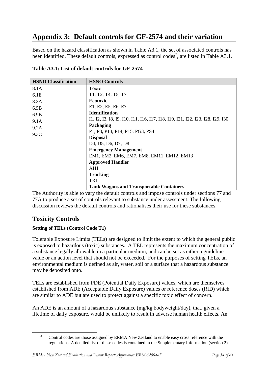# <span id="page-33-0"></span>**Appendix 3: Default controls for GF-2574 and their variation**

Based on the hazard classification as shown in Table A3.1, the set of associated controls has been identified. These default controls, expressed as control codes<sup>3</sup>, are listed in Table A3.1.

| <b>HSNO Classification</b> | <b>HSNO Controls</b>                                                               |
|----------------------------|------------------------------------------------------------------------------------|
| 8.1A                       | <b>Toxic</b>                                                                       |
| 6.1E                       | T1, T2, T4, T5, T7                                                                 |
| 8.3A                       | <b>Ecotoxic</b>                                                                    |
| 6.5B                       | E1, E2, E5, E6, E7                                                                 |
| 6.9B                       | <b>Identification</b>                                                              |
| 9.1A                       | 11, 12, 13, 18, 19, 110, 111, 116, 117, 118, 119, 121, 122, 123, 128, 129, 130     |
| 9.2A                       | Packaging                                                                          |
| 9.3C                       | P1, P3, P13, P14, P15, PG3, PS4                                                    |
|                            | <b>Disposal</b>                                                                    |
|                            | D <sub>4</sub> , D <sub>5</sub> , D <sub>6</sub> , D <sub>7</sub> , D <sub>8</sub> |
|                            | <b>Emergency Management</b>                                                        |
|                            | EM1, EM2, EM6, EM7, EM8, EM11, EM12, EM13                                          |
|                            | <b>Approved Handler</b>                                                            |
|                            | AH1                                                                                |
|                            | <b>Tracking</b>                                                                    |
|                            | TR <sub>1</sub>                                                                    |
|                            | <b>Tank Wagons and Transportable Containers</b>                                    |

**Table A3.1: List of default controls for GF-2574**

The Authority is able to vary the default controls and impose controls under sections 77 and 77A to produce a set of controls relevant to substance under assessment. The following discussion reviews the default controls and rationalises their use for these substances.

# **Toxicity Controls**

1

# **Setting of TELs (Control Code T1)**

Tolerable Exposure Limits (TELs) are designed to limit the extent to which the general public is exposed to hazardous (toxic) substances. A TEL represents the maximum concentration of a substance legally allowable in a particular medium, and can be set as either a guideline value or an action level that should not be exceeded. For the purposes of setting TELs, an environmental medium is defined as air, water, soil or a surface that a hazardous substance may be deposited onto.

TELs are established from PDE (Potential Daily Exposure) values, which are themselves established from ADE (Acceptable Daily Exposure) values or reference doses (RfD) which are similar to ADE but are used to protect against a specific toxic effect of concern.

An ADE is an amount of a hazardous substance (mg/kg bodyweight/day), that, given a lifetime of daily exposure, would be unlikely to result in adverse human health effects. An

<sup>&</sup>lt;sup>3</sup> Control codes are those assigned by ERMA New Zealand to enable easy cross reference with the regulations. A detailed list of these codes is contained in the Supplementary Information (section 2).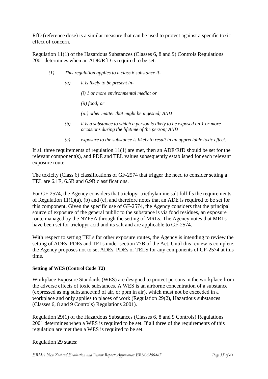RfD (reference dose) is a similar measure that can be used to protect against a specific toxic effect of concern.

Regulation 11(1) of the Hazardous Substances (Classes 6, 8 and 9) Controls Regulations 2001 determines when an ADE/RfD is required to be set:

- *(1) This regulation applies to a class 6 substance if-*
	- *(a) it is likely to be present in-*

*(i) 1 or more environmental media; or*

*(ii) food; or*

*(iii) other matter that might be ingested; AND*

- *(b) it is a substance to which a person is likely to be exposed on 1 or more occasions during the lifetime of the person; AND*
- *(c) exposure to the substance is likely to result in an appreciable toxic effect.*

If all three requirements of regulation  $11(1)$  are met, then an ADE/RfD should be set for the relevant component(s), and PDE and TEL values subsequently established for each relevant exposure route.

The toxicity (Class 6) classifications of GF-2574 that trigger the need to consider setting a TEL are 6.1E, 6.5B and 6.9B classifications.

For GF-2574, the Agency considers that triclopyr triethylamine salt fulfills the requirements of Regulation  $11(1)(a)$ , (b) and (c), and therefore notes that an ADE is required to be set for this component. Given the specific use of GF-2574, the Agency considers that the principal source of exposure of the general public to the substance is via food residues, an exposure route managed by the NZFSA through the setting of MRLs. The Agency notes that MRLs have been set for triclopyr acid and its salt and are applicable to GF-2574.

With respect to setting TELs for other exposure routes, the Agency is intending to review the setting of ADEs, PDEs and TELs under section 77B of the Act. Until this review is complete, the Agency proposes not to set ADEs, PDEs or TELS for any components of GF-2574 at this time.

#### **Setting of WES (Control Code T2)**

Workplace Exposure Standards (WES) are designed to protect persons in the workplace from the adverse effects of toxic substances. A WES is an airborne concentration of a substance (expressed as mg substance/m3 of air, or ppm in air), which must not be exceeded in a workplace and only applies to places of work (Regulation 29(2), Hazardous substances (Classes 6, 8 and 9 Controls) Regulations 2001).

Regulation 29(1) of the Hazardous Substances (Classes 6, 8 and 9 Controls) Regulations 2001 determines when a WES is required to be set. If all three of the requirements of this regulation are met then a WES is required to be set.

#### Regulation 29 states: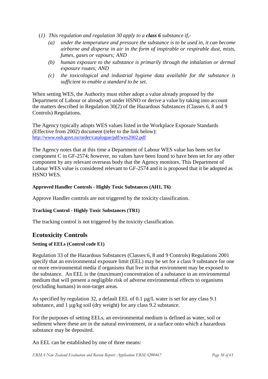- (*1) This regulation and regulation 30 apply to a class 6 substance if,-*
	- *(a) under the temperature and pressure the substance is to be used in, it can become airborne and disperse in air in the form of inspirable or respirable dust, mists, fumes, gases or vapours; AND*
	- *(b) human exposure to the substance is primarily through the inhalation or dermal exposure routes; AND*
	- *(c) the toxicological and industrial hygiene data available for the substance is sufficient to enable a standard to be set.*

When setting WES, the Authority must either adopt a value already proposed by the Department of Labour or already set under HSNO or derive a value by taking into account the matters described in Regulation 30(2) of the Hazardous Substances (Classes 6, 8 and 9 Controls) Regulations.

The Agency typically adopts WES values listed in the Workplace Exposure Standards (Effective from 2002) document (refer to the link below): <http://www.osh.govt.nz/order/catalogue/pdf/wes2002.pdf>

The Agency notes that at this time a Department of Labour WES value has been set for component C in GF-2574; however, no values have been found to have been set for any other component by any relevant overseas body that the Agency monitors. This Department of Labour WES value is considered relevant to GF-2574 and it is proposed that it be adopted as HSNO WES.

#### **Approved Handler Controls - Highly Toxic Substances (AH1, T6)**

Approve Handler controls are not triggered by the toxicity classification.

#### **Tracking Control - Highly Toxic Substances (TR1)**

The tracking control is not triggered by the toxicity classification.

# **Ecotoxicity Controls**

#### **Setting of EELs (Control code E1)**

Regulation 33 of the Hazardous Substances (Classes 6, 8 and 9 Controls) Regulations 2001 specify that an environmental exposure limit (EEL) may be set for a class 9 substance for one or more environmental media if organisms that live in that environment may be exposed to the substance. An EEL is the (maximum) concentration of a substance in an environmental medium that will present a negligible risk of adverse environmental effects to organisms (excluding humans) in non-target areas.

As specified by regulation 32, a default EEL of 0.1  $\mu$ g/L water is set for any class 9.1 substance, and 1 µg/kg soil (dry weight) for any class 9.2 substance.

For the purposes of setting EELs, an environmental medium is defined as water, soil or sediment where these are in the natural environment, or a surface onto which a hazardous substance may be deposited.

An EEL can be established by one of three means: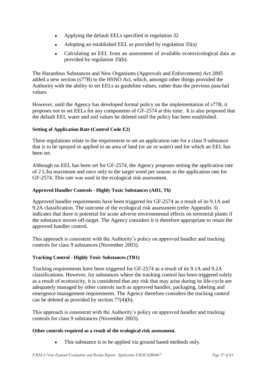- Applying the default EELs specified in regulation 32  $\bullet$
- Adopting an established EEL as provided by regulation 35(a)  $\bullet$
- Calculating an EEL from an assessment of available ecotoxicological data as  $\bullet$ provided by regulation 35(b).

The Hazardous Substances and New Organisms (Approvals and Enforcement) Act 2005 added a new section (s77B) to the HSNO Act, which, amongst other things provided the Authority with the ability to set EELs as guideline values, rather than the previous pass/fail values.

However, until the Agency has developed formal policy on the implementation of s77B, it proposes not to set EELs for any components of GF-2574 at this time. It is also proposed that the default EEL water and soil values be deleted until the policy has been established.

#### **Setting of Application Rate (Control Code E2)**

These regulations relate to the requirement to set an application rate for a class 9 substance that is to be sprayed or applied to an area of land (or air or water) and for which an EEL has been set.

Although no EEL has been set for GF-2574, the Agency proposes setting the application rate of 2 L/ha maximum and once only to the target weed per season as the application rate for GF-2574. This rate was used in the ecological risk assessment.

#### **Approved Handler Controls - Highly Toxic Substances (AH1, T6)**

Approved handler requirements have been triggered for GF-2574 as a result of its 9.1A and 9.2A classification. The outcome of the ecological risk assessment (refer Appendix 3) indicates that there is potential for acute adverse environmental effects on terrestrial plants if the substance moves off-target. The Agency considers it is therefore appropriate to retain the approved handler control.

This approach is consistent with the Authority"s policy on approved handler and tracking controls for class 9 substances (November 2003).

#### **Tracking Control - Highly Toxic Substances (TR1)**

Tracking requirements have been triggered for GF-2574 as a result of its 9.1A and 9.2A classifications. However, for substances where the tracking control has been triggered solely as a result of ecotoxicity, it is considered that any risk that may arise during its life-cycle are adequately managed by other controls such as approved handler, packaging, labeling and emergence management requirements. The Agency therefore considers the tracking control can be deleted as provided by section 77(4)(b).

This approach is consistent with the Authority's policy on approved handler and tracking controls for class 9 substances (November 2003).

#### **Other controls required as a result of the ecological risk assessment.**

This substance is to be applied via ground based methods only. $\bullet$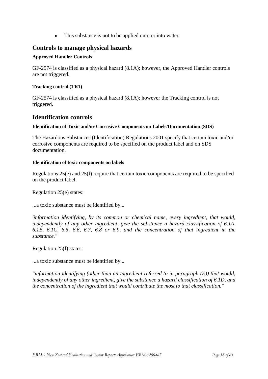This substance is not to be applied onto or into water.  $\bullet$ 

# **Controls to manage physical hazards**

#### **Approved Handler Controls**

GF-2574 is classified as a physical hazard (8.1A); however, the Approved Handler controls are not triggered.

#### **Tracking control (TR1)**

GF-2574 is classified as a physical hazard (8.1A); however the Tracking control is not triggered.

# **Identification controls**

#### **Identification of Toxic and/or Corrosive Components on Labels/Documentation (SDS)**

The Hazardous Substances (Identification) Regulations 2001 specify that certain toxic and/or corrosive components are required to be specified on the product label and on SDS documentation.

#### **Identification of toxic components on labels**

Regulations 25(e) and 25(f) require that certain toxic components are required to be specified on the product label.

Regulation 25(e) states:

...a toxic substance must be identified by...

*'information identifying, by its common or chemical name, every ingredient, that would, independently of any other ingredient, give the substance a hazard classification of 6.1A, 6.1B, 6.1C, 6.5, 6.6, 6.7, 6.8 or 6.9, and the concentration of that ingredient in the substance."*

Regulation 25(f) states:

...a toxic substance must be identified by...

*"information identifying (other than an ingredient referred to in paragraph (E)) that would, independently of any other ingredient, give the substance a hazard classification of 6.1D, and the concentration of the ingredient that would contribute the most to that classification."*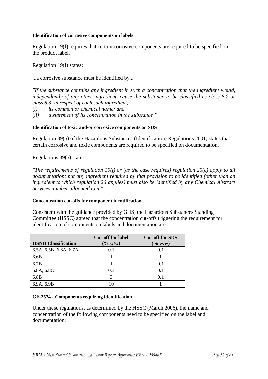#### **Identification of corrosive components on labels**

Regulation 19(f) requires that certain corrosive components are required to be specified on the product label.

Regulation 19(f) states:

...a corrosive substance must be identified by...

*"If the substance contains any ingredient in such a concentration that the ingredient would, independently of any other ingredient, cause the substance to be classified as class 8.2 or class 8.3, in respect of each such ingredient,-*

- *(i) its common or chemical name; and*
- *(ii) a statement of its concentration in the substance."*

#### **Identification of toxic and/or corrosive components on SDS**

Regulation 39(5) of the Hazardous Substances (Identification) Regulations 2001, states that certain corrosive and toxic components are required to be specified on documentation.

Regulations 39(5) states:

*"The requirements of regulation 19(f) or (as the case requires) regulation 25(e) apply to all documentation; but any ingredient required by that provision to be identified (other than an ingredient to which regulation 26 applies) must also be identified by any Chemical Abstract Services number allocated to it."*

#### **Concentration cut-offs for component identification**

Consistent with the guidance provided by GHS, the Hazardous Substances Standing Committee (HSSC) agreed that the concentration cut-offs triggering the requirement for identification of components on labels and documentation are:

| <b>HSNO Classification</b> | <b>Cut-off for label</b><br>$(\% w/w)$ | <b>Cut-off for SDS</b><br>$(\% w/w)$ |
|----------------------------|----------------------------------------|--------------------------------------|
| 6.5A, 6.5B, 6.6A, 6.7A     | 0.1                                    | 0.1                                  |
| 6.6B                       |                                        |                                      |
| 6.7B                       |                                        | 0.1                                  |
| 6.8A, 6.8C                 | 0.3                                    | 0.1                                  |
| 6.8B                       |                                        | 0.1                                  |
| 6.9A, 6.9B                 |                                        |                                      |

#### **GF-2574 - Components requiring identification**

Under these regulations, as determined by the HSSC (March 2006), the name and concentration of the following components need to be specified on the label and documentation: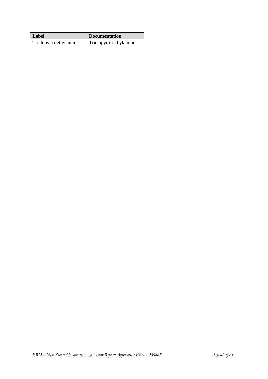| Label                   | <b>Documentation</b>    |
|-------------------------|-------------------------|
| Triclopyr triethylamine | Triclopyr triethylamine |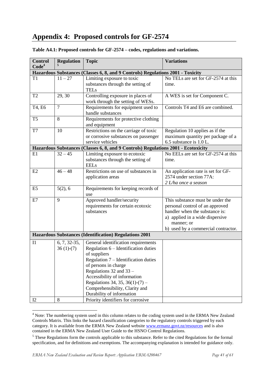# <span id="page-40-0"></span>**Appendix 4: Proposed controls for GF-2574**

| <b>Control</b><br>Code <sup>4</sup>                           | <b>Regulation</b>             | <b>Topic</b>                                                                                                                                                                                                                                                                                                                   | <b>Variations</b>                                                                                                                                                                             |
|---------------------------------------------------------------|-------------------------------|--------------------------------------------------------------------------------------------------------------------------------------------------------------------------------------------------------------------------------------------------------------------------------------------------------------------------------|-----------------------------------------------------------------------------------------------------------------------------------------------------------------------------------------------|
|                                                               |                               | Hazardous Substances (Classes 6, 8, and 9 Controls) Regulations 2001 - Toxicity                                                                                                                                                                                                                                                |                                                                                                                                                                                               |
| T <sub>1</sub>                                                | $11 - 27$                     | Limiting exposure to toxic<br>substances through the setting of<br><b>TELs</b>                                                                                                                                                                                                                                                 | No TELs are set for GF-2574 at this<br>time.                                                                                                                                                  |
| T <sub>2</sub>                                                | 29, 30                        | Controlling exposure in places of<br>work through the setting of WESs.                                                                                                                                                                                                                                                         | A WES is set for Component C.                                                                                                                                                                 |
| T4, E6                                                        | $\overline{7}$                | Requirements for equipment used to<br>handle substances                                                                                                                                                                                                                                                                        | Controls T4 and E6 are combined.                                                                                                                                                              |
| T <sub>5</sub>                                                | 8                             | Requirements for protective clothing<br>and equipment                                                                                                                                                                                                                                                                          |                                                                                                                                                                                               |
| T7                                                            | 10                            | Restrictions on the carriage of toxic<br>or corrosive substances on passenger<br>service vehicles                                                                                                                                                                                                                              | Regulation 10 applies as if the<br>maximum quantity per package of a<br>6.5 substance is 1.0 L.                                                                                               |
|                                                               |                               | Hazardous Substances (Classes 6, 8, and 9 Controls) Regulations 2001 - Ecotoxicity                                                                                                                                                                                                                                             |                                                                                                                                                                                               |
| E1                                                            | $32 - 45$                     | Limiting exposure to ecotoxic<br>substances through the setting of<br><b>EELs</b>                                                                                                                                                                                                                                              | No EELs are set for GF-2574 at this<br>time.                                                                                                                                                  |
| E2                                                            | $46 - 48$                     | Restrictions on use of substances in<br>application areas                                                                                                                                                                                                                                                                      | An application rate is set for GF-<br>2574 under section 77A:<br>$2$ L/ha once a season                                                                                                       |
| E <sub>5</sub>                                                | 5(2), 6                       | Requirements for keeping records of<br>use                                                                                                                                                                                                                                                                                     |                                                                                                                                                                                               |
| E7                                                            | 9                             | Approved handler/security<br>requirements for certain ecotoxic<br>substances                                                                                                                                                                                                                                                   | This substance must be under the<br>personal control of an approved<br>handler when the substance is:<br>a) applied in a wide dispersive<br>manner; or<br>b) used by a commercial contractor. |
| <b>Hazardous Substances (Identification) Regulations 2001</b> |                               |                                                                                                                                                                                                                                                                                                                                |                                                                                                                                                                                               |
| I <sub>1</sub>                                                | $6, 7, 32-35,$<br>$36(1)-(7)$ | General identification requirements<br>Regulation $6$ – Identification duties<br>of suppliers<br>Regulation 7 - Identification duties<br>of persons in charge<br>Regulations $32$ and $33$ -<br>Accessibility of information<br>Regulations 34, 35, 36(1)-(7) –<br>Comprehensibility, Clarity and<br>Durability of information |                                                                                                                                                                                               |
| I2                                                            | $\,8\,$                       | Priority identifiers for corrosive                                                                                                                                                                                                                                                                                             |                                                                                                                                                                                               |

#### **Table A4.1: Proposed controls for GF-2574 – codes, regulations and variations.**

1

 $4$  Note: The numbering system used in this column relates to the coding system used in the ERMA New Zealand Controls Matrix. This links the hazard classification categories to the regulatory controls triggered by each category. It is available from the ERMA New Zealand website [www.ermanz.govt.nz/resources](http://www.ermanz.govt.nz/resources) and is also contained in the ERMA New Zealand User Guide to the HSNO Control Regulations.

<sup>5</sup> These Regulations form the controls applicable to this substance. Refer to the cited Regulations for the formal specification, and for definitions and exemptions. The accompanying explanation is intended for guidance only.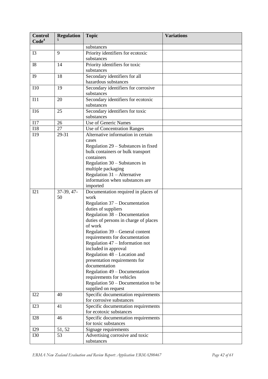| <b>Control</b><br>Code <sup>4</sup> | <b>Regulation</b> | <b>Topic</b>                                      | <b>Variations</b> |
|-------------------------------------|-------------------|---------------------------------------------------|-------------------|
|                                     |                   |                                                   |                   |
|                                     |                   | substances                                        |                   |
| I3                                  | 9                 | Priority identifiers for ecotoxic<br>substances   |                   |
| <b>I8</b>                           | 14                | Priority identifiers for toxic                    |                   |
|                                     |                   | substances                                        |                   |
| <b>I9</b>                           | 18                | Secondary identifiers for all                     |                   |
|                                     |                   | hazardous substances                              |                   |
| <b>I10</b>                          | 19                | Secondary identifiers for corrosive<br>substances |                   |
| I11                                 | 20                | Secondary identifiers for ecotoxic<br>substances  |                   |
| I16                                 | 25                | Secondary identifiers for toxic                   |                   |
|                                     |                   | substances                                        |                   |
| I17                                 | 26                | Use of Generic Names                              |                   |
| <b>I18</b>                          | 27                | Use of Concentration Ranges                       |                   |
| I19                                 | 29-31             | Alternative information in certain                |                   |
|                                     |                   | cases                                             |                   |
|                                     |                   | Regulation 29 – Substances in fixed               |                   |
|                                     |                   | bulk containers or bulk transport                 |                   |
|                                     |                   | containers                                        |                   |
|                                     |                   | Regulation $30 -$ Substances in                   |                   |
|                                     |                   | multiple packaging                                |                   |
|                                     |                   | Regulation 31 - Alternative                       |                   |
|                                     |                   | information when substances are                   |                   |
|                                     |                   | imported                                          |                   |
| I21                                 | 37-39, 47-        | Documentation required in places of               |                   |
|                                     | 50                | work                                              |                   |
|                                     |                   | Regulation 37 – Documentation                     |                   |
|                                     |                   | duties of suppliers                               |                   |
|                                     |                   | Regulation 38 – Documentation                     |                   |
|                                     |                   | duties of persons in charge of places<br>of work  |                   |
|                                     |                   | Regulation 39 – General content                   |                   |
|                                     |                   | requirements for documentation                    |                   |
|                                     |                   | Regulation 47 - Information not                   |                   |
|                                     |                   | included in approval                              |                   |
|                                     |                   | Regulation 48 – Location and                      |                   |
|                                     |                   | presentation requirements for                     |                   |
|                                     |                   | documentation                                     |                   |
|                                     |                   | Regulation 49 – Documentation                     |                   |
|                                     |                   | requirements for vehicles                         |                   |
|                                     |                   | Regulation $50 -$ Documentation to be             |                   |
|                                     |                   | supplied on request                               |                   |
| I22                                 | 40                | Specific documentation requirements               |                   |
|                                     |                   | for corrosive substances                          |                   |
| I23                                 | 41                | Specific documentation requirements               |                   |
|                                     |                   | for ecotoxic substances                           |                   |
| <b>I28</b>                          | 46                | Specific documentation requirements               |                   |
|                                     |                   | for toxic substances                              |                   |
| I29                                 | 51, 52            | Signage requirements                              |                   |
| <b>I30</b>                          | 53                | Advertising corrosive and toxic                   |                   |
|                                     |                   | substances                                        |                   |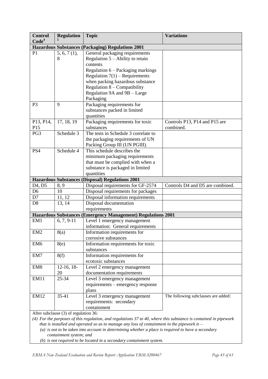| <b>Control</b><br>Code <sup>4</sup>                                                                                                                       | <b>Regulation</b> | <b>Topic</b>                                                                               | <b>Variations</b>                          |
|-----------------------------------------------------------------------------------------------------------------------------------------------------------|-------------------|--------------------------------------------------------------------------------------------|--------------------------------------------|
|                                                                                                                                                           |                   | <b>Hazardous Substances (Packaging) Regulations 2001</b>                                   |                                            |
| P <sub>1</sub>                                                                                                                                            | 5, 6, 7(1),       | General packaging requirements                                                             |                                            |
|                                                                                                                                                           | 8                 | Regulation $5 -$ Ability to retain                                                         |                                            |
|                                                                                                                                                           |                   | contents                                                                                   |                                            |
|                                                                                                                                                           |                   | Regulation 6 - Packaging markings                                                          |                                            |
|                                                                                                                                                           |                   | Regulation $7(1)$ – Requirements                                                           |                                            |
|                                                                                                                                                           |                   | when packing hazardous substance                                                           |                                            |
|                                                                                                                                                           |                   | Regulation $8$ – Compatibility                                                             |                                            |
|                                                                                                                                                           |                   | Regulation 9A and 9B - Large                                                               |                                            |
|                                                                                                                                                           |                   | Packaging                                                                                  |                                            |
| P <sub>3</sub>                                                                                                                                            | 9                 | Packaging requirements for                                                                 |                                            |
|                                                                                                                                                           |                   | substances packed in limited                                                               |                                            |
|                                                                                                                                                           |                   | quantities                                                                                 |                                            |
| P13, P14,<br>P15                                                                                                                                          | 17, 18, 19        | Packaging requirements for toxic<br>substances                                             | Controls P13, P14 and P15 are<br>combined. |
| PG3                                                                                                                                                       | Schedule 3        | The tests in Schedule 3 correlate to                                                       |                                            |
|                                                                                                                                                           |                   | the packaging requirements of UN                                                           |                                            |
|                                                                                                                                                           |                   | Packing Group III (UN PGIII).                                                              |                                            |
| PS4                                                                                                                                                       | Schedule 4        | This schedule describes the                                                                |                                            |
|                                                                                                                                                           |                   | minimum packaging requirements                                                             |                                            |
|                                                                                                                                                           |                   | that must be complied with when a                                                          |                                            |
|                                                                                                                                                           |                   | substance is packaged in limited                                                           |                                            |
|                                                                                                                                                           |                   | quantities                                                                                 |                                            |
|                                                                                                                                                           |                   | Hazardous Substances (Disposal) Regulations 2001                                           |                                            |
| D <sub>4</sub> , D <sub>5</sub>                                                                                                                           | 8, 9              | Disposal requirements for GF-2574                                                          | Controls D4 and D5 are combined.           |
| D <sub>6</sub>                                                                                                                                            | 10                | Disposal requirements for packages                                                         |                                            |
| D7                                                                                                                                                        | 11, 12            | Disposal information requirements                                                          |                                            |
| D <sub>8</sub>                                                                                                                                            | 13, 14            | Disposal documentation                                                                     |                                            |
|                                                                                                                                                           |                   | requirements                                                                               |                                            |
|                                                                                                                                                           |                   | Hazardous Substances (Emergency Management) Regulations 2001                               |                                            |
| EM1                                                                                                                                                       | $6, 7, 9-11$      | Level 1 emergency management                                                               |                                            |
|                                                                                                                                                           |                   | information: General requirements                                                          |                                            |
| EM <sub>2</sub>                                                                                                                                           | 8(a)              | Information requirements for                                                               |                                            |
|                                                                                                                                                           |                   | corrosive substances                                                                       |                                            |
| EM <sub>6</sub>                                                                                                                                           | 8(e)              | Information requirements for toxic<br>substances                                           |                                            |
| EM7                                                                                                                                                       | 8(f)              | Information requirements for                                                               |                                            |
|                                                                                                                                                           |                   | ecotoxic substances                                                                        |                                            |
| EM <sub>8</sub>                                                                                                                                           | $12-16, 18-$      | Level 2 emergency management                                                               |                                            |
|                                                                                                                                                           | 20                | documentation requirements                                                                 |                                            |
| <b>EM11</b>                                                                                                                                               | 25-34             | Level 3 emergency management                                                               |                                            |
|                                                                                                                                                           |                   | requirements – emergency response                                                          |                                            |
|                                                                                                                                                           |                   | plans                                                                                      |                                            |
| <b>EM12</b>                                                                                                                                               | 35-41             | Level 3 emergency management                                                               | The following subclauses are added:        |
|                                                                                                                                                           |                   | requirements: secondary                                                                    |                                            |
|                                                                                                                                                           |                   | containment                                                                                |                                            |
| After subclause (3) of regulation 36:<br>(4) For the purposes of this regulation, and regulations 37 to 40, where this substance is contained in pipework |                   |                                                                                            |                                            |
|                                                                                                                                                           |                   | that is installed and operated so as to manage any loss of containment in the pipework it— |                                            |

*(a) is not to be taken into account in determining whether a place is required to have a secondary containment system; and*

*(b) is not required to be located in a secondary containment system.*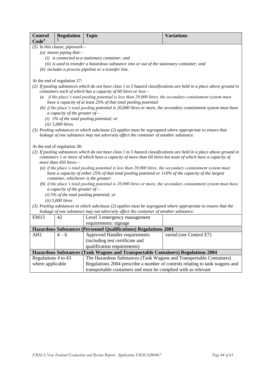| <b>Control</b>                                                                                  | <b>Regulation</b>                         | <b>Topic</b>                                                                                                                                                                 | <b>Variations</b>       |
|-------------------------------------------------------------------------------------------------|-------------------------------------------|------------------------------------------------------------------------------------------------------------------------------------------------------------------------------|-------------------------|
| Code <sup>4</sup>                                                                               |                                           |                                                                                                                                                                              |                         |
|                                                                                                 | (5) In this clause, pipework-             |                                                                                                                                                                              |                         |
|                                                                                                 | (a) means piping that-                    |                                                                                                                                                                              |                         |
|                                                                                                 |                                           | $(i)$ is connected to a stationary container; and                                                                                                                            |                         |
|                                                                                                 |                                           | (ii) is used to transfer a hazardous substance into or out of the stationary container; and                                                                                  |                         |
|                                                                                                 |                                           | (b) includes a process pipeline or a transfer line.                                                                                                                          |                         |
|                                                                                                 | At the end of regulation 37:              |                                                                                                                                                                              |                         |
|                                                                                                 |                                           | (2) If pooling substances which do not have class 1 to 5 hazard classifications are held in a place above ground in                                                          |                         |
|                                                                                                 |                                           | containers each of which has a capacity of 60 litres or less-                                                                                                                |                         |
| $\overline{a}$                                                                                  |                                           | if the place's total pooling potential is less than 20,000 litres, the secondary containment system must<br>have a capacity of at least 25% of that total pooling potential: |                         |
|                                                                                                 | a capacity of the greater of-             | (b) if the place's total pooling potential is 20,000 litres or more, the secondary containment system must have                                                              |                         |
|                                                                                                 |                                           | (i) $5\%$ of the total pooling potential; or                                                                                                                                 |                         |
|                                                                                                 | $(ii)$ 5,000 litres.                      |                                                                                                                                                                              |                         |
|                                                                                                 |                                           | (3) Pooling substances to which subclause (2) applies must be segregated where appropriate to ensure that                                                                    |                         |
|                                                                                                 |                                           | leakage of one substance may not adversely affect the container of another substance.                                                                                        |                         |
|                                                                                                 |                                           |                                                                                                                                                                              |                         |
|                                                                                                 | At the end of regulation 38:              |                                                                                                                                                                              |                         |
|                                                                                                 |                                           | (2) If pooling substances which do not have class 1 to 5 hazard classifications are held in a place above ground in                                                          |                         |
|                                                                                                 | more than 450 litres-                     | containers 1 or more of which have a capacity of more than 60 litres but none of which have a capacity of                                                                    |                         |
|                                                                                                 |                                           | (a) if the place's total pooling potential is less than $20,000$ litres, the secondary containment system must                                                               |                         |
|                                                                                                 |                                           | have a capacity of either 25% of that total pooling potential or 110% of the capacity of the largest                                                                         |                         |
|                                                                                                 | container, whichever is the greater:      |                                                                                                                                                                              |                         |
|                                                                                                 |                                           | (b) if the place's total pooling potential is $20,000$ litres or more, the secondary containment system must have                                                            |                         |
| a capacity of the greater of-                                                                   |                                           |                                                                                                                                                                              |                         |
|                                                                                                 | (i) 5% of the total pooling potential; or |                                                                                                                                                                              |                         |
|                                                                                                 | $(ii)$ 5,000 litres                       |                                                                                                                                                                              |                         |
|                                                                                                 |                                           | (3) Pooling substances to which subclause (2) applies must be segregated where appropriate to ensure that the                                                                |                         |
|                                                                                                 |                                           | leakage of one substance may not adversely affect the container of another substance.                                                                                        |                         |
| <b>EM13</b>                                                                                     | 42                                        | Level 3 emergency management                                                                                                                                                 |                         |
|                                                                                                 |                                           | requirements: signage                                                                                                                                                        |                         |
|                                                                                                 |                                           | Hazardous Substances (Personnel Qualifications) Regulations 2001                                                                                                             |                         |
| AH1                                                                                             | $4 - 6$                                   | Approved Handler requirements                                                                                                                                                | varied (see Control E7) |
|                                                                                                 |                                           | (including test certificate and                                                                                                                                              |                         |
|                                                                                                 |                                           | qualification requirements)                                                                                                                                                  |                         |
|                                                                                                 |                                           | Hazardous Substances (Tank Wagons and Transportable Containers) Regulations 2004                                                                                             |                         |
| Regulations 4 to 43                                                                             |                                           | The Hazardous Substances (Tank Wagons and Transportable Containers)                                                                                                          |                         |
| where applicable<br>Regulations 2004 prescribe a number of controls relating to tank wagons and |                                           |                                                                                                                                                                              |                         |
|                                                                                                 |                                           | transportable containers and must be complied with as relevant                                                                                                               |                         |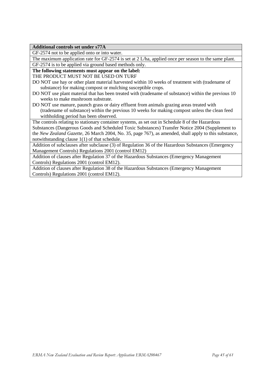**Additional controls set under s77A**

GF-2574 not to be applied onto or into water.

The maximum application rate for GF-2574 is set at 2 L/ha, applied once per season to the same plant. GF-2574 is to be applied via ground based methods only.

**The following statements must appear on the label:**

THE PRODUCT MUST NOT BE USED ON TURF

- DO NOT use hay or other plant material harvested within 10 weeks of treatment with (tradename of substance) for making compost or mulching susceptible crops.
- DO NOT use plant material that has been treated with (tradename of substance) within the previous 10 weeks to make mushroom substrate.
- DO NOT use manure, paunch grass or dairy effluent from animals grazing areas treated with (tradename of substance) within the previous 10 weeks for making compost unless the clean feed withholding period has been observed.

The controls relating to stationary container systems, as set out in Schedule 8 of the Hazardous Substances (Dangerous Goods and Scheduled Toxic Substances) Transfer Notice 2004 (Supplement to the *New Zealand Gazette*, 26 March 2004, No. 35, page 767), as amended, shall apply to this substance, notwithstanding clause 1(1) of that schedule.

Addition of subclauses after subclause (3) of Regulation 36 of the Hazardous Substances (Emergency Management Controls) Regulations 2001 (control EM12)

Addition of clauses after Regulation 37 of the Hazardous Substances (Emergency Management Controls) Regulations 2001 (control EM12).

Addition of clauses after Regulation 38 of the Hazardous Substances (Emergency Management Controls) Regulations 2001 (control EM12).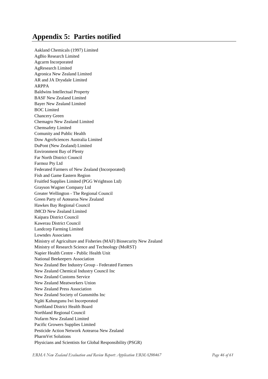# <span id="page-45-0"></span>**Appendix 5: Parties notified**

Aakland Chemicals (1997) Limited AgBio Research Limited Agcarm Incorporated AgResearch Limited Agronica New Zealand Limited AR and JA Drysdale Limited ARPPA Baldwins Intellectual Property BASF New Zealand Limited Bayer New Zealand Limited BOC Limited Chancery Green Chemagro New Zealand Limited Chemsafety Limited Comunity and Public Health Dow AgroSciences Australia Limited DuPont (New Zealand) Limited Environment Bay of Plenty Far North District Council Farmoz Pty Ltd Federated Farmers of New Zealand (Incorporated) Fish and Game Eastern Region Fruitfed Supplies Limited (PGG Wrightson Ltd) Grayson Wagner Company Ltd Greater Wellington - The Regional Council Green Party of Aotearoa New Zealand Hawkes Bay Regional Council IMCD New Zealand Limited Kaipara District Council Kawerau District Council Landcorp Farming Limited Lowndes Associates Ministry of Agriculture and Fisheries (MAF) Biosecurity New Zealand Ministry of Research Science and Technology (MoRST) Napier Health Centre - Public Health Unit National Beekeepers Association New Zealand Bee Industry Group - Federated Farmers New Zealand Chemical Industry Council Inc New Zealand Customs Service New Zealand Meatworkers Union New Zealand Press Association New Zealand Society of Gunsmiths Inc Ngāti Kahungunu Iwi Incorporated Northland District Health Board Northland Regional Council Nufarm New Zealand Limited Pacific Growers Supplies Limited Pesticide Action Network Aotearoa New Zealand PharmVet Solutions Physicians and Scientists for Global Responsibility (PSGR)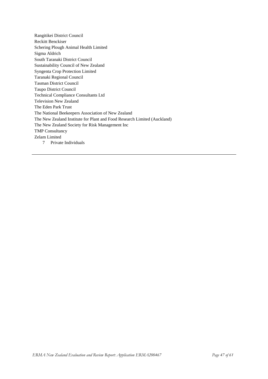Rangitikei District Council Reckitt Benckiser Schering Plough Animal Health Limited Sigma Aldrich South Taranaki District Council Sustainability Council of New Zealand Syngenta Crop Protection Limited Taranaki Regional Council Tasman District Council Taupo District Council Technical Compliance Consultants Ltd Television New Zealand The Eden Park Trust The National Beekeepers Association of New Zealand The New Zealand Institute for Plant and Food Research Limited (Auckland) The New Zealand Society for Risk Management Inc TMP Consultancy Zelam Limited 7 Private Individuals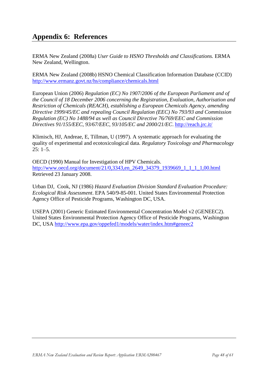# <span id="page-47-0"></span>**Appendix 6: References**

ERMA New Zealand (2008a) *User Guide to HSNO Thresholds and Classifications.* ERMA New Zealand, Wellington.

ERMA New Zealand (2008b) HSNO Chemical Classification Information Database (CCID) <http://www.ermanz.govt.nz/hs/compliance/chemicals.html>

European Union (2006) *Regulation (EC) No 1907/2006 of the European Parliament and of the Council of 18 December 2006 concerning the Registration, Evaluation, Authorisation and Restriction of Chemicals (REACH), establishing a European Chemicals Agency, amending Directive 1999/45/EC and repealing Council Regulation (EEC) No 793/93 and Commission Regulation (EC) No 1488/94 as well as Council Directive 76/769/EEC and Commission Directives 91/155/EEC, 93/67/EEC, 93/105/EC and 2000/21/EC*.<http://reach.jrc.it/>

Klimisch, HJ, Andreae, E, Tillman, U (1997). A systematic approach for evaluating the quality of experimental and ecotoxicological data. *Regulatory Toxicology and Pharmacology*  $25: 1 - 5.$ 

OECD (1990) Manual for Investigation of HPV Chemicals. [http://www.oecd.org/document/21/0,3343,en\\_2649\\_34379\\_1939669\\_1\\_1\\_1\\_1,00.html](http://www.oecd.org/document/21/0,3343,en_2649_34379_1939669_1_1_1_1,00.html) Retrieved 23 January 2008.

Urban DJ, Cook, NJ (1986) *Hazard Evaluation Division Standard Evaluation Procedure: Ecological Risk Assessment*. EPA 540/9-85-001. United States Environmental Protection Agency Office of Pesticide Programs, Washington DC, USA.

USEPA (2001) Generic Estimated Environmental Concentration Model v2 (GENEEC2). United States Environmental Protection Agency Office of Pesticide Programs, Washington DC, USA<http://www.epa.gov/oppefed1/models/water/index.htm#geneec2>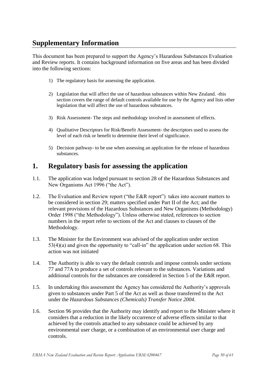# <span id="page-49-0"></span>**Supplementary Information**

This document has been prepared to support the Agency"s Hazardous Substances Evaluation and Review reports. It contains background information on five areas and has been divided into the following sections:

- 1) The regulatory basis for assessing the application.
- 2) Legislation that will affect the use of hazardous substances within New Zealand. -this section covers the range of default controls available for use by the Agency and lists other legislation that will affect the use of hazardous substances.
- 3) Risk Assessment- The steps and methodology involved in assessment of effects.
- 4) Qualitative Descriptors for Risk/Benefit Assessment- the descriptors used to assess the level of each risk or benefit to determine their level of significance.
- 5) Decision pathway- to be use when assessing an application for the release of hazardous substances.

# <span id="page-49-1"></span>**1. Regulatory basis for assessing the application**

- 1.1. The application was lodged pursuant to section 28 of the Hazardous Substances and New Organisms Act 1996 ("the Act").
- 1.2. The Evaluation and Review report ("the E&R report") takes into account matters to be considered in section 29; matters specified under Part II of the Act; and the relevant provisions of the Hazardous Substances and New Organisms (Methodology) Order 1998 ("the Methodology"). Unless otherwise stated, references to section numbers in the report refer to sections of the Act and clauses to clauses of the Methodology.
- 1.3. The Minister for the Environment was advised of the application under section 53(4)(a) and given the opportunity to "call-in" the application under section 68. This action was not initiated
- 1.4. The Authority is able to vary the default controls and impose controls under sections 77 and 77A to produce a set of controls relevant to the substances. Variations and additional controls for the substances are considered in Section 5 of the E&R report.
- 1.5. In undertaking this assessment the Agency has considered the Authority"s approvals given to substances under Part 5 of the Act as well as those transferred to the Act under the *Hazardous Substances (Chemicals) Transfer Notice 2004*.
- 1.6. Section 96 provides that the Authority may identify and report to the Minister where it considers that a reduction in the likely occurrence of adverse effects similar to that achieved by the controls attached to any substance could be achieved by any environmental user charge, or a combination of an environmental user charge and controls.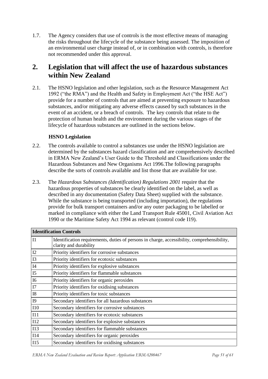1.7. The Agency considers that use of controls is the most effective means of managing the risks throughout the lifecycle of the substance being assessed. The imposition of an environmental user charge instead of, or in combination with controls, is therefore not recommended under this approval.

# <span id="page-50-0"></span>**2. Legislation that will affect the use of hazardous substances within New Zealand**

2.1. The HSNO legislation and other legislation, such as the Resource Management Act 1992 ("the RMA") and the Health and Safety in Employment Act ("the HSE Act") provide for a number of controls that are aimed at preventing exposure to hazardous substances, and/or mitigating any adverse effects caused by such substances in the event of an accident, or a breach of controls. The key controls that relate to the protection of human health and the environment during the various stages of the lifecycle of hazardous substances are outlined in the sections below.

### **HSNO Legislation**

- 2.2. The controls available to control a substances use under the HSNO legislation are determined by the substances hazard classification and are comprehensively described in ERMA New Zealand"s User Guide to the Threshold and Classifications under the Hazardous Substances and New Organisms Act 1996.The following paragraphs describe the sorts of controls available and list those that are available for use.
- 2.3. The *Hazardous Substances (Identification) Regulations 2001* require that the hazardous properties of substances be clearly identified on the label, as well as described in any documentation (Safety Data Sheet) supplied with the substance. While the substance is being transported (including importation), the regulations provide for bulk transport containers and/or any outer packaging to be labelled or marked in compliance with either the Land Transport Rule 45001, Civil Aviation Act 1990 or the Maritime Safety Act 1994 as relevant (control code I19).

|                | <b>Identification Controls</b>                                                                                        |  |  |
|----------------|-----------------------------------------------------------------------------------------------------------------------|--|--|
| I1             | Identification requirements, duties of persons in charge, accessibility, comprehensibility,<br>clarity and durability |  |  |
| I2             | Priority identifiers for corrosive substances                                                                         |  |  |
| I3             | Priority identifiers for ecotoxic substances                                                                          |  |  |
| I4             | Priority identifiers for explosive substances                                                                         |  |  |
| I <sub>5</sub> | Priority identifiers for flammable substances                                                                         |  |  |
| I <sub>6</sub> | Priority identifiers for organic peroxides                                                                            |  |  |
| I7             | Priority identifiers for oxidising substances                                                                         |  |  |
| <b>I8</b>      | Priority identifiers for toxic substances                                                                             |  |  |
| I <sub>9</sub> | Secondary identifiers for all hazardous substances                                                                    |  |  |
| <b>I10</b>     | Secondary identifiers for corrosive substances                                                                        |  |  |
| II1            | Secondary identifiers for ecotoxic substances                                                                         |  |  |
| I12            | Secondary identifiers for explosive substances                                                                        |  |  |
| I13            | Secondary identifiers for flammable substances                                                                        |  |  |
| I14            | Secondary identifiers for organic peroxides                                                                           |  |  |
| I15            | Secondary identifiers for oxidising substances                                                                        |  |  |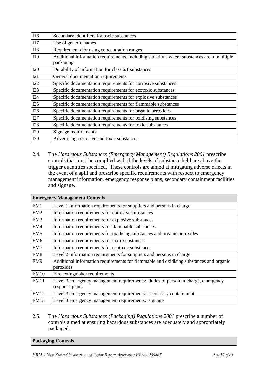| <b>I16</b> | Secondary identifiers for toxic substances                                                              |
|------------|---------------------------------------------------------------------------------------------------------|
| I17        | Use of generic names                                                                                    |
| <b>I18</b> | Requirements for using concentration ranges                                                             |
| I19        | Additional information requirements, including situations where substances are in multiple<br>packaging |
| I20        | Durability of information for class 6.1 substances                                                      |
| I21        | General documentation requirements                                                                      |
| I22        | Specific documentation requirements for corrosive substances                                            |
| I23        | Specific documentation requirements for ecotoxic substances                                             |
| I24        | Specific documentation requirements for explosive substances                                            |
| I25        | Specific documentation requirements for flammable substances                                            |
| I26        | Specific documentation requirements for organic peroxides                                               |
| I27        | Specific documentation requirements for oxidising substances                                            |
| <b>I28</b> | Specific documentation requirements for toxic substances                                                |
| I29        | Signage requirements                                                                                    |
| <b>I30</b> | Advertising corrosive and toxic substances                                                              |

2.4. The *Hazardous Substances (Emergency Management) Regulations 2001* prescribe controls that must be complied with if the levels of substance held are above the trigger quantities specified. These controls are aimed at mitigating adverse effects in the event of a spill and prescribe specific requirements with respect to emergency management information, emergency response plans, secondary containment facilities and signage.

|                 | <b>Emergency Management Controls</b>                                                                |
|-----------------|-----------------------------------------------------------------------------------------------------|
| EM1             | Level 1 information requirements for suppliers and persons in charge                                |
| EM2             | Information requirements for corrosive substances                                                   |
| EM <sub>3</sub> | Information requirements for explosive substances                                                   |
| EM4             | Information requirements for flammable substances                                                   |
| EM <sub>5</sub> | Information requirements for oxidising substances and organic peroxides                             |
| EM6             | Information requirements for toxic substances                                                       |
| EM7             | Information requirements for ecotoxic substances                                                    |
| EM <sub>8</sub> | Level 2 information requirements for suppliers and persons in charge                                |
| EM9             | Additional information requirements for flammable and oxidising substances and organic<br>peroxides |
| <b>EM10</b>     | Fire extinguisher requirements                                                                      |
| <b>EM11</b>     | Level 3 emergency management requirements: duties of person in charge, emergency<br>response plans  |
| EM12            | Level 3 emergency management requirements: secondary containment                                    |
| EM13            | Level 3 emergency management requirements: signage                                                  |

#### 2.5. The *Hazardous Substances (Packaging) Regulations 2001* prescribe a number of controls aimed at ensuring hazardous substances are adequately and appropriately packaged.

| <b>Packaging Controls</b> |
|---------------------------|
|---------------------------|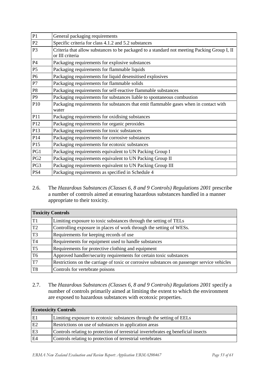| P <sub>1</sub>  | General packaging requirements                                                                                 |
|-----------------|----------------------------------------------------------------------------------------------------------------|
| P2              | Specific criteria for class 4.1.2 and 5.2 substances                                                           |
| P <sub>3</sub>  | Criteria that allow substances to be packaged to a standard not meeting Packing Group I, II<br>or III criteria |
| P4              | Packaging requirements for explosive substances                                                                |
| <b>P5</b>       | Packaging requirements for flammable liquids                                                                   |
| P <sub>6</sub>  | Packaging requirements for liquid desensitised explosives                                                      |
| P7              | Packaging requirements for flammable solids                                                                    |
| P <sub>8</sub>  | Packaging requirements for self-reactive flammable substances                                                  |
| P <sub>9</sub>  | Packaging requirements for substances liable to spontaneous combustion                                         |
| P10             | Packaging requirements for substances that emit flammable gases when in contact with<br>water                  |
| P11             | Packaging requirements for oxidising substances                                                                |
| P12             | Packaging requirements for organic peroxides                                                                   |
| P13             | Packaging requirements for toxic substances                                                                    |
| P14             | Packaging requirements for corrosive substances                                                                |
| P15             | Packaging requirements for ecotoxic substances                                                                 |
| PG1             | Packaging requirements equivalent to UN Packing Group I                                                        |
| PG <sub>2</sub> | Packaging requirements equivalent to UN Packing Group II                                                       |
| PG3             | Packaging requirements equivalent to UN Packing Group III                                                      |
| PS4             | Packaging requirements as specified in Schedule 4                                                              |

2.6. The *Hazardous Substances (Classes 6, 8 and 9 Controls) Regulations 2001* prescribe a number of controls aimed at ensuring hazardous substances handled in a manner appropriate to their toxicity.

| <b>Toxicity Controls</b> |                                                                                             |
|--------------------------|---------------------------------------------------------------------------------------------|
| T <sub>1</sub>           | Limiting exposure to toxic substances through the setting of TELs                           |
| T <sub>2</sub>           | Controlling exposure in places of work through the setting of WESs.                         |
| T <sub>3</sub>           | Requirements for keeping records of use                                                     |
| T <sub>4</sub>           | Requirements for equipment used to handle substances                                        |
| T <sub>5</sub>           | Requirements for protective clothing and equipment                                          |
| T <sub>6</sub>           | Approved handler/security requirements for certain toxic substances                         |
| T <sub>7</sub>           | Restrictions on the carriage of toxic or corrosive substances on passenger service vehicles |
| T <sub>8</sub>           | Controls for vertebrate poisons                                                             |

2.7. The *Hazardous Substances (Classes 6, 8 and 9 Controls) Regulations 2001* specify a number of controls primarily aimed at limiting the extent to which the environment are exposed to hazardous substances with ecotoxic properties.

| <b>Ecotoxicity Controls</b> |                                                                                    |
|-----------------------------|------------------------------------------------------------------------------------|
| E <sub>1</sub>              | Limiting exposure to ecotoxic substances through the setting of EELs               |
| E2                          | Restrictions on use of substances in application areas                             |
| E <sub>3</sub>              | Controls relating to protection of terrestrial invertebrates eg beneficial insects |
| E <sub>4</sub>              | Controls relating to protection of terrestrial vertebrates                         |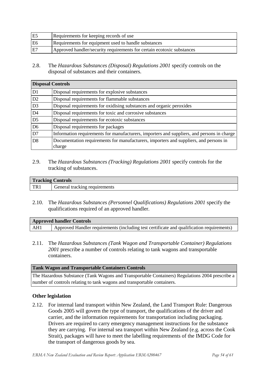| E5 | Requirements for keeping records of use                                |
|----|------------------------------------------------------------------------|
| E6 | Requirements for equipment used to handle substances                   |
| E7 | Approved handler/security requirements for certain ecotoxic substances |

2.8. The *Hazardous Substances (Disposal) Regulations 2001* specify controls on the disposal of substances and their containers.

| <b>Disposal Controls</b> |                                                                                                 |
|--------------------------|-------------------------------------------------------------------------------------------------|
| D <sub>1</sub>           | Disposal requirements for explosive substances                                                  |
| D2                       | Disposal requirements for flammable substances                                                  |
| D <sub>3</sub>           | Disposal requirements for oxidising substances and organic peroxides                            |
| D <sub>4</sub>           | Disposal requirements for toxic and corrosive substances                                        |
| D <sub>5</sub>           | Disposal requirements for ecotoxic substances                                                   |
| D <sub>6</sub>           | Disposal requirements for packages                                                              |
| D7                       | Information requirements for manufacturers, importers and suppliers, and persons in charge      |
| D <sub>8</sub>           | Documentation requirements for manufacturers, importers and suppliers, and persons in<br>charge |

2.9. The *Hazardous Substances (Tracking) Regulations 2001* specify controls for the tracking of substances.

| <b>Tracking Controls</b> |                               |
|--------------------------|-------------------------------|
| TR.                      | General tracking requirements |

2.10. The *Hazardous Substances (Personnel Qualifications) Regulations 2001* specify the qualifications required of an approved handler.

| <b>Approved handler Controls</b> |                                                                                           |
|----------------------------------|-------------------------------------------------------------------------------------------|
| AH1                              | Approved Handler requirements (including test certificate and qualification requirements) |

2.11. The *Hazardous Substances (Tank Wagon and Transportable Container) Regulations 2001* prescribe a number of controls relating to tank wagons and transportable containers.

#### **Tank Wagon and Transportable Containers Controls**

The Hazardous Substance (Tank Wagons and Transportable Containers) Regulations 2004 prescribe a number of controls relating to tank wagons and transportable containers.

#### **Other legislation**

2.12. For internal land transport within New Zealand, the Land Transport Rule: Dangerous Goods 2005 will govern the type of transport, the qualifications of the driver and carrier, and the information requirements for transportation including packaging. Drivers are required to carry emergency management instructions for the substance they are carrying. For internal sea transport within New Zealand (e.g. across the Cook Strait), packages will have to meet the labelling requirements of the IMDG Code for the transport of dangerous goods by sea.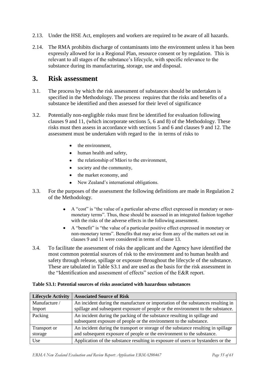- 2.13. Under the HSE Act, employers and workers are required to be aware of all hazards.
- 2.14. The RMA prohibits discharge of contaminants into the environment unless it has been expressly allowed for in a Regional Plan, resource consent or by regulation. This is relevant to all stages of the substance"s lifecycle, with specific relevance to the substance during its manufacturing, storage, use and disposal.

# <span id="page-54-0"></span>**3. Risk assessment**

- 3.1. The process by which the risk assessment of substances should be undertaken is specified in the Methodology. The process requires that the risks and benefits of a substance be identified and then assessed for their level of significance
- 3.2. Potentially non-negligible risks must first be identified for evaluation following clauses 9 and 11, (which incorporate sections 5, 6 and 8) of the Methodology. These risks must then assess in accordance with sections 5 and 6 and clauses 9 and 12. The assessment must be undertaken with regard to the in terms of risks to
	- $\bullet$ the environment,
	- $\bullet$ human health and safety,
	- the relationship of Māori to the environment,  $\bullet$
	- society and the community,  $\bullet$
	- $\bullet$ the market economy, and
	- New Zealand"s international obligations.
- 3.3. For the purposes of the assessment the following definitions are made in Regulation 2 of the Methodology.
	- A "cost" is "the value of a particular adverse effect expressed in monetary or nonmonetary terms". Thus, these should be assessed in an integrated fashion together with the risks of the adverse effects in the following assessment.
	- A "benefit" is "the value of a particular positive effect expressed in monetary or non-monetary terms". Benefits that may arise from any of the matters set out in clauses 9 and 11 were considered in terms of clause 13.
- 3.4. To facilitate the assessment of risks the applicant and the Agency have identified the most common potential sources of risk to the environment and to human health and safety through release, spillage or exposure throughout the lifecycle of the substance. These are tabulated in Table S3.1 and are used as the basis for the risk assessment in the "Identification and assessment of effects" section of the E&R report.

| <b>Lifecycle Activity</b> | <b>Associated Source of Risk</b>                                                   |
|---------------------------|------------------------------------------------------------------------------------|
| Manufacture /             | An incident during the manufacture or importation of the substances resulting in   |
| Import                    | spillage and subsequent exposure of people or the environment to the substance.    |
| Packing                   | An incident during the packing of the substance resulting in spillage and          |
|                           | subsequent exposure of people or the environment to the substance.                 |
| Transport or              | An incident during the transport or storage of the substance resulting in spillage |
| storage                   | and subsequent exposure of people or the environment to the substance.             |
| Use                       | Application of the substance resulting in exposure of users or bystanders or the   |

#### **Table S3.1: Potential sources of risks associated with hazardous substances**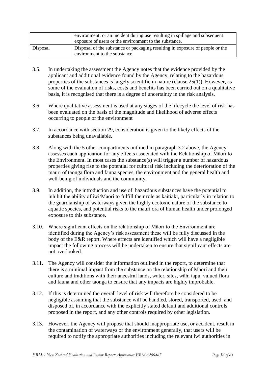|          | environment; or an incident during use resulting in spillage and subsequent<br>exposure of users or the environment to the substance. |
|----------|---------------------------------------------------------------------------------------------------------------------------------------|
| Disposal | Disposal of the substance or packaging resulting in exposure of people or the<br>environment to the substance.                        |

- 3.5. In undertaking the assessment the Agency notes that the evidence provided by the applicant and additional evidence found by the Agency, relating to the hazardous properties of the substances is largely scientific in nature (clause 25(1)). However, as some of the evaluation of risks, costs and benefits has been carried out on a qualitative basis, it is recognised that there is a degree of uncertainty in the risk analysis.
- 3.6. Where qualitative assessment is used at any stages of the lifecycle the level of risk has been evaluated on the basis of the magnitude and likelihood of adverse effects occurring to people or the environment
- 3.7. In accordance with section 29, consideration is given to the likely effects of the substances being unavailable.
- 3.8. Along with the 5 other compartments outlined in paragraph 3.2 above, the Agency assesses each application for any effects associated with the Relationship of Māori to the Environment. In most cases the substance(s) will trigger a number of hazardous properties giving rise to the potential for cultural risk including the deterioration of the mauri of taonga flora and fauna species, the environment and the general health and well-being of individuals and the community.
- 3.9. In addition, the introduction and use of hazardous substances have the potential to inhibit the ability of iwi/Māori to fulfill their role as kaitiaki, particularly in relation to the guardianship of waterways given the highly ecotoxic nature of the substance to aquatic species, and potential risks to the mauri ora of human health under prolonged exposure to this substance.
- 3.10. Where significant effects on the relationship of Māori to the Environment are identified during the Agency"s risk assessment these will be fully discussed in the body of the E&R report. Where effects are identified which will have a negligible impact the following process will be undertaken to ensure that significant effects are not overlooked.
- 3.11. The Agency will consider the information outlined in the report, to determine that there is a minimal impact from the substance on the relationship of Māori and their culture and traditions with their ancestral lands, water, sites, wāhi tapu, valued flora and fauna and other taonga to ensure that any impacts are highly improbable.
- 3.12. If this is determined the overall level of risk will therefore be considered to be negligible assuming that the substance will be handled, stored, transported, used, and disposed of, in accordance with the explicitly stated default and additional controls proposed in the report, and any other controls required by other legislation.
- 3.13. However, the Agency will propose that should inappropriate use, or accident, result in the contamination of waterways or the environment generally, that users will be required to notify the appropriate authorities including the relevant iwi authorities in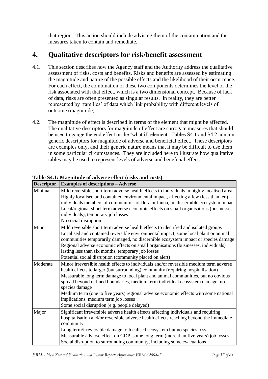that region. This action should include advising them of the contamination and the measures taken to contain and remediate.

# <span id="page-56-0"></span>**4. Qualitative descriptors for risk/benefit assessment**

- 4.1. This section describes how the Agency staff and the Authority address the qualitative assessment of risks, costs and benefits. Risks and benefits are assessed by estimating the magnitude and nature of the possible effects and the likelihood of their occurrence. For each effect, the combination of these two components determines the level of the risk associated with that effect, which is a two dimensional concept. Because of lack of data, risks are often presented as singular results. In reality, they are better represented by "families" of data which link probability with different levels of outcome (magnitude).
- 4.2. The magnitude of effect is described in terms of the element that might be affected. The qualitative descriptors for magnitude of effect are surrogate measures that should be used to gauge the end effect or the 'what if' element. Tables S4.1 and S4.2 contain generic descriptors for magnitude of adverse and beneficial effect. These descriptors are examples only, and their generic nature means that it may be difficult to use them in some particular circumstances. They are included here to illustrate how qualitative tables may be used to represent levels of adverse and beneficial effect.

| <b>Descriptor</b> | <b>Examples of descriptions - Adverse</b>                                                                                                                                                                                                                                                                                                                                                                                                                                                                                                          |  |
|-------------------|----------------------------------------------------------------------------------------------------------------------------------------------------------------------------------------------------------------------------------------------------------------------------------------------------------------------------------------------------------------------------------------------------------------------------------------------------------------------------------------------------------------------------------------------------|--|
| Minimal           | Mild reversible short term adverse health effects to individuals in highly localised area<br>Highly localised and contained environmental impact, affecting a few (less than ten)<br>individuals members of communities of flora or fauna, no discernible ecosystem impact<br>Local/regional short-term adverse economic effects on small organisations (businesses,<br>individuals), temporary job losses<br>No social disruption                                                                                                                 |  |
| Minor             | Mild reversible short term adverse health effects to identified and isolated groups<br>Localised and contained reversible environmental impact, some local plant or animal<br>communities temporarily damaged, no discernible ecosystem impact or species damage<br>Regional adverse economic effects on small organisations (businesses, individuals)<br>lasting less than six months, temporary job losses<br>Potential social disruption (community placed on alert)                                                                            |  |
| Moderate          | Minor irreversible health effects to individuals and/or reversible medium term adverse<br>health effects to larger (but surrounding) community (requiring hospitalisation)<br>Measurable long term damage to local plant and animal communities, but no obvious<br>spread beyond defined boundaries, medium term individual ecosystem damage, no<br>species damage<br>Medium term (one to five years) regional adverse economic effects with some national<br>implications, medium term job losses<br>Some social disruption (e.g. people delayed) |  |
| Major             | Significant irreversible adverse health effects affecting individuals and requiring<br>hospitalisation and/or reversible adverse health effects reaching beyond the immediate<br>community<br>Long term/irreversible damage to localised ecosystem but no species loss<br>Measurable adverse effect on GDP, some long term (more than five years) job losses<br>Social disruption to surrounding community, including some evacuations                                                                                                             |  |

**Table S4.1: Magnitude of adverse effect (risks and costs)**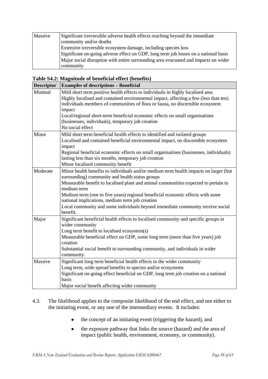| Massive | Significant irreversible adverse health effects reaching beyond the immediate<br>community and/or deaths |
|---------|----------------------------------------------------------------------------------------------------------|
|         | Extensive irreversible ecosystem damage, including species loss                                          |
|         | Significant on-going adverse effect on GDP, long term job losses on a national basis                     |
|         | Major social disruption with entire surrounding area evacuated and impacts on wider                      |
|         | community                                                                                                |

|  | Table S4.2: Magnitude of beneficial effect (benefits) |  |  |
|--|-------------------------------------------------------|--|--|
|  |                                                       |  |  |

| <b>Descriptor</b> | <b>Examples of descriptions - Beneficial</b>                                                                                                  |  |  |  |  |
|-------------------|-----------------------------------------------------------------------------------------------------------------------------------------------|--|--|--|--|
| Minimal           | Mild short term positive health effects to individuals in highly localised area                                                               |  |  |  |  |
|                   | Highly localised and contained environmental impact, affecting a few (less than ten)                                                          |  |  |  |  |
|                   | individuals members of communities of flora or fauna, no discernible ecosystem                                                                |  |  |  |  |
|                   | impact                                                                                                                                        |  |  |  |  |
|                   | Local/regional short-term beneficial economic effects on small organisations                                                                  |  |  |  |  |
|                   | (businesses, individuals), temporary job creation                                                                                             |  |  |  |  |
|                   | No social effect                                                                                                                              |  |  |  |  |
| Minor             | Mild short term beneficial health effects to identified and isolated groups                                                                   |  |  |  |  |
|                   | Localised and contained beneficial environmental impact, no discernible ecosystem<br>impact                                                   |  |  |  |  |
|                   | Regional beneficial economic effects on small organisations (businesses, individuals)<br>lasting less than six months, temporary job creation |  |  |  |  |
|                   | Minor localised community benefit                                                                                                             |  |  |  |  |
| Moderate          | Minor health benefits to individuals and/or medium term health impacts on larger (but                                                         |  |  |  |  |
|                   | surrounding) community and health status groups                                                                                               |  |  |  |  |
|                   | Measurable benefit to localised plant and animal communities expected to pertain to<br>medium term                                            |  |  |  |  |
|                   | Medium term (one to five years) regional beneficial economic effects with some<br>national implications, medium term job creation             |  |  |  |  |
|                   | Local community and some individuals beyond immediate community receive social<br>benefit.                                                    |  |  |  |  |
|                   |                                                                                                                                               |  |  |  |  |
| Major             | Significant beneficial health effects to localised community and specific groups in<br>wider community                                        |  |  |  |  |
|                   | Long term benefit to localised ecosystem(s)                                                                                                   |  |  |  |  |
|                   | Measurable beneficial effect on GDP, some long term (more than five years) job                                                                |  |  |  |  |
|                   | creation                                                                                                                                      |  |  |  |  |
|                   | Substantial social benefit to surrounding community, and individuals in wider                                                                 |  |  |  |  |
|                   | community.                                                                                                                                    |  |  |  |  |
| Massive           | Significant long term beneficial health effects to the wider community                                                                        |  |  |  |  |
|                   | Long term, wide spread benefits to species and/or ecosystems                                                                                  |  |  |  |  |
|                   | Significant on-going effect beneficial on GDP, long term job creation on a national<br>basis                                                  |  |  |  |  |
|                   | Major social benefit affecting wider community                                                                                                |  |  |  |  |

- 4.3. The likelihood applies to the composite likelihood of the end effect, and not either to the initiating event, or any one of the intermediary events. It includes:
	- the concept of an initiating event (triggering the hazard), and
	- the exposure pathway that links the source (hazard) and the area of  $\bullet$ impact (public health, environment, economy, or community).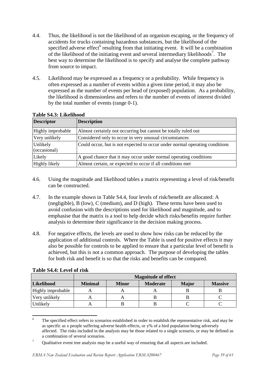- 4.4. Thus, the likelihood is not the likelihood of an organism escaping, or the frequency of accidents for trucks containing hazardous substances, but the likelihood of the specified adverse effect<sup>6</sup> resulting from that initiating event. It will be a combination of the likelihood of the initiating event and several intermediary likelihoods<sup>7</sup>. The best way to determine the likelihood is to specify and analyse the complete pathway from source to impact.
- 4.5. Likelihood may be expressed as a frequency or a probability. While frequency is often expressed as a number of events within a given time period, it may also be expressed as the number of events per head of (exposed) population. As a probability, the likelihood is dimensionless and refers to the number of events of interest divided by the total number of events (range 0-1).

| <b>Descriptor</b>        | <b>Description</b>                                                          |
|--------------------------|-----------------------------------------------------------------------------|
| Highly improbable        | Almost certainly not occurring but cannot be totally ruled out              |
| Very unlikely            | Considered only to occur in very unusual circumstances                      |
| Unlikely<br>(occasional) | Could occur, but is not expected to occur under normal operating conditions |
| Likely                   | A good chance that it may occur under normal operating conditions           |
| Highly likely            | Almost certain, or expected to occur if all conditions met                  |

#### **Table S4.3: Likelihood**

- 4.6. Using the magnitude and likelihood tables a matrix representing a level of risk/benefit can be constructed.
- 4.7. In the example shown in Table S4.4, four levels of risk/benefit are allocated: A (negligible), B (low), C (medium), and D (high). These terms have been used to avoid confusion with the descriptions used for likelihood and magnitude, and to emphasise that the matrix is a tool to help decide which risks/benefits require further analysis to determine their significance in the decision making process.
- 4.8. For negative effects, the levels are used to show how risks can be reduced by the application of additional controls. Where the Table is used for positive effects it may also be possible for controls to be applied to ensure that a particular level of benefit is achieved, but this is not a common approach. The purpose of developing the tables for both risk and benefit is so that the risks and benefits can be compared.

|                   | <b>Magnitude of effect</b> |              |                 |              |                |
|-------------------|----------------------------|--------------|-----------------|--------------|----------------|
| Likelihood        | <b>Minimal</b>             | <b>Minor</b> | <b>Moderate</b> | <b>Major</b> | <b>Massive</b> |
| Highly improbable |                            |              |                 |              |                |
| Very unlikely     |                            |              |                 |              |                |
| Unlikely          |                            |              |                 |              |                |

 $\overline{6}$ The specified effect refers to scenarios established in order to establish the representative risk, and may be as specific as x people suffering adverse health effects, or y% of a bird population being adversely affected. The risks included in the analysis may be those related to a single scenario, or may be defined as a combination of several scenarios.

<sup>&</sup>lt;sup>7</sup> Qualitative event tree analysis may be a useful way of ensuring that all aspects are included.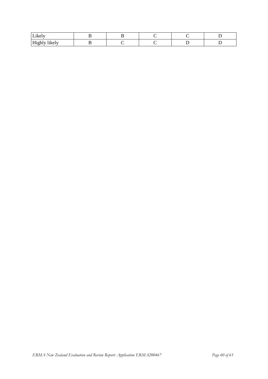| Likely               |  |  |  |
|----------------------|--|--|--|
| <br>Highly<br>likely |  |  |  |